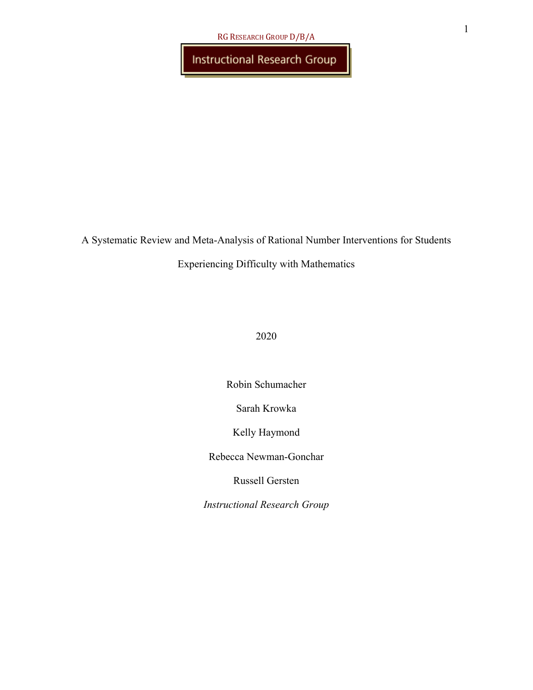Instructional Research Group

A Systematic Review and Meta-Analysis of Rational Number Interventions for Students

#### Experiencing Difficulty with Mathematics

#### 2020

Robin Schumacher

Sarah Krowka

Kelly Haymond

Rebecca Newman-Gonchar

Russell Gersten

*Instructional Research Group*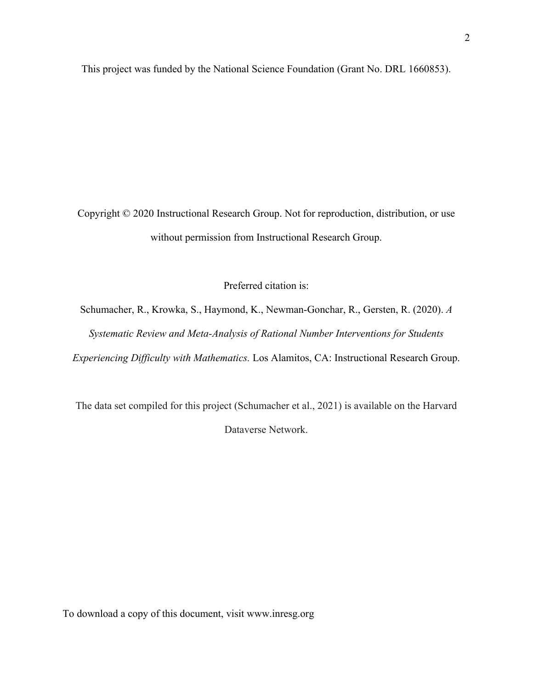This project was funded by the National Science Foundation (Grant No. DRL 1660853).

Copyright © 2020 Instructional Research Group. Not for reproduction, distribution, or use without permission from Instructional Research Group.

Preferred citation is:

Schumacher, R., Krowka, S., Haymond, K., Newman-Gonchar, R., Gersten, R. (2020). *A Systematic Review and Meta-Analysis of Rational Number Interventions for Students Experiencing Difficulty with Mathematics.* Los Alamitos, CA: Instructional Research Group.

The data set compiled for this project (Schumacher et al., 2021) is available on the Harvard Dataverse Network.

To download a copy of this document, visit www.inresg.org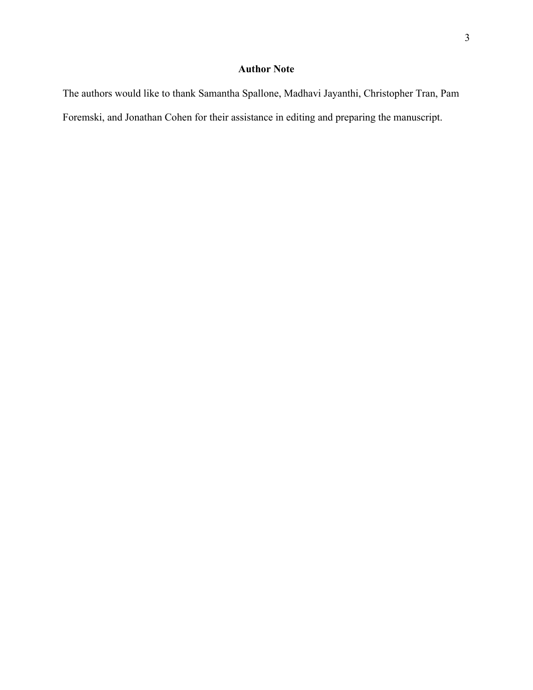### **Author Note**

The authors would like to thank Samantha Spallone, Madhavi Jayanthi, Christopher Tran, Pam Foremski, and Jonathan Cohen for their assistance in editing and preparing the manuscript.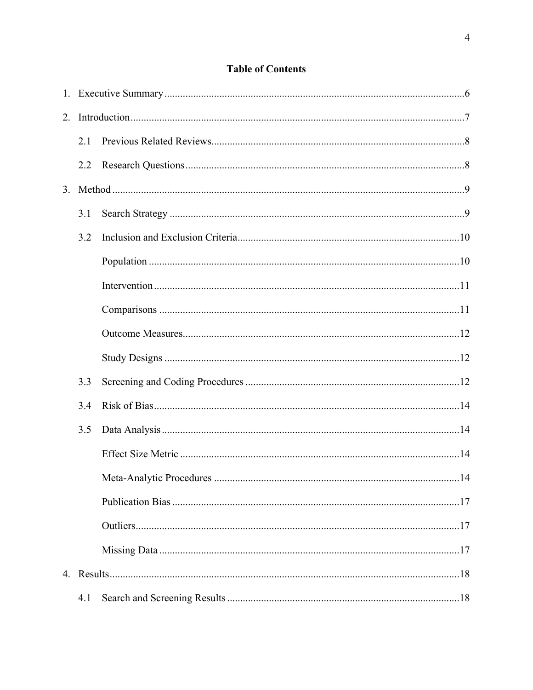### **Table of Contents**

| 2.1 |  |
|-----|--|
| 2.2 |  |
|     |  |
| 3.1 |  |
| 3.2 |  |
|     |  |
|     |  |
|     |  |
|     |  |
|     |  |
| 3.3 |  |
| 3.4 |  |
| 3.5 |  |
|     |  |
|     |  |
|     |  |
|     |  |
|     |  |
|     |  |
| 4.1 |  |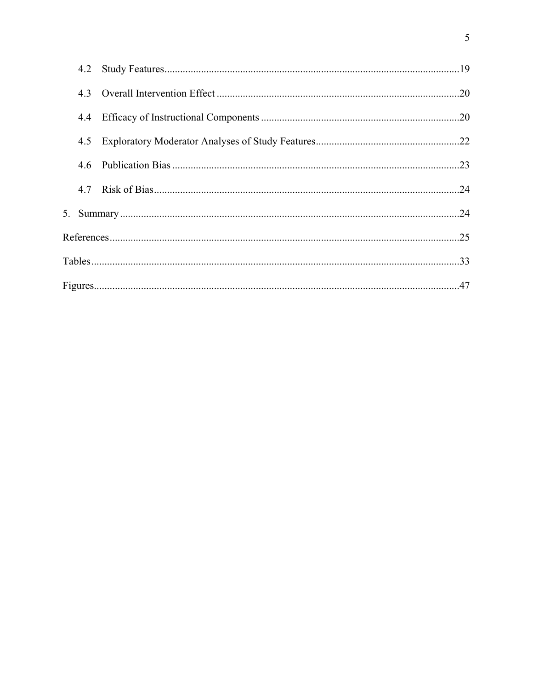|     | 4.2 |  |  |  |  |  |  |  |  |
|-----|-----|--|--|--|--|--|--|--|--|
|     |     |  |  |  |  |  |  |  |  |
|     |     |  |  |  |  |  |  |  |  |
| 4.5 |     |  |  |  |  |  |  |  |  |
|     |     |  |  |  |  |  |  |  |  |
|     |     |  |  |  |  |  |  |  |  |
|     |     |  |  |  |  |  |  |  |  |
|     |     |  |  |  |  |  |  |  |  |
|     |     |  |  |  |  |  |  |  |  |
|     |     |  |  |  |  |  |  |  |  |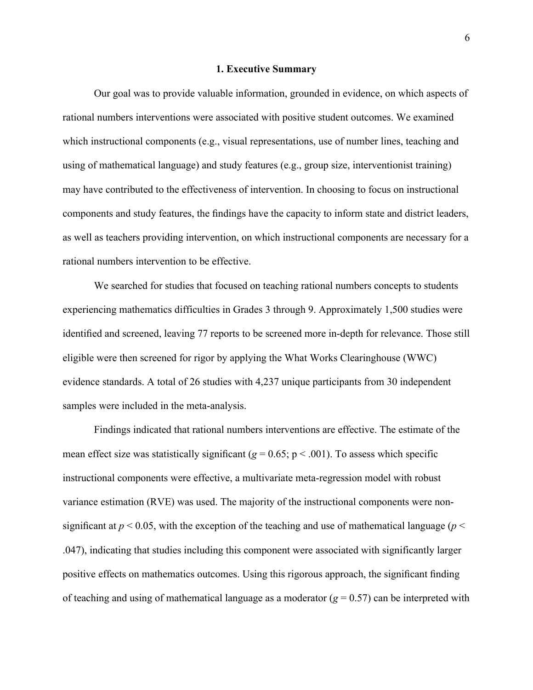#### **1. Executive Summary**

Our goal was to provide valuable information, grounded in evidence, on which aspects of rational numbers interventions were associated with positive student outcomes. We examined which instructional components (e.g., visual representations, use of number lines, teaching and using of mathematical language) and study features (e.g., group size, interventionist training) may have contributed to the effectiveness of intervention. In choosing to focus on instructional components and study features, the findings have the capacity to inform state and district leaders, as well as teachers providing intervention, on which instructional components are necessary for a rational numbers intervention to be effective.

We searched for studies that focused on teaching rational numbers concepts to students experiencing mathematics difficulties in Grades 3 through 9. Approximately 1,500 studies were identified and screened, leaving 77 reports to be screened more in-depth for relevance. Those still eligible were then screened for rigor by applying the What Works Clearinghouse (WWC) evidence standards. A total of 26 studies with 4,237 unique participants from 30 independent samples were included in the meta-analysis.

Findings indicated that rational numbers interventions are effective. The estimate of the mean effect size was statistically significant ( $g = 0.65$ ;  $p < .001$ ). To assess which specific instructional components were effective, a multivariate meta-regression model with robust variance estimation (RVE) was used. The majority of the instructional components were nonsignificant at  $p < 0.05$ , with the exception of the teaching and use of mathematical language ( $p <$ .047), indicating that studies including this component were associated with significantly larger positive effects on mathematics outcomes. Using this rigorous approach, the significant finding of teaching and using of mathematical language as a moderator  $(g = 0.57)$  can be interpreted with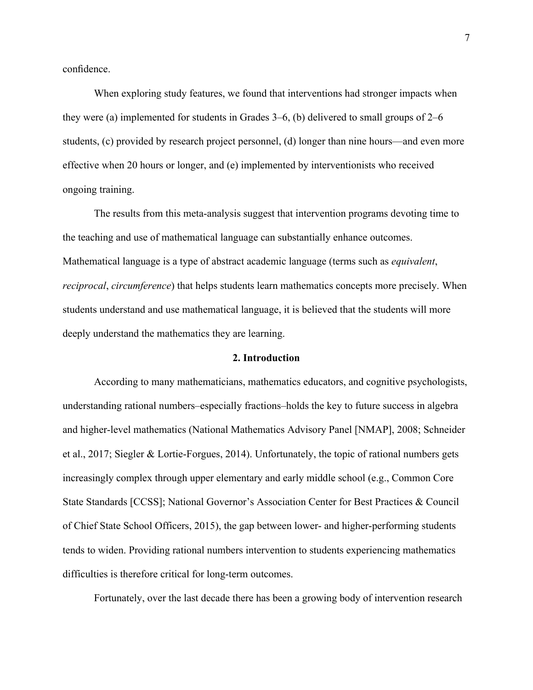confidence.

When exploring study features, we found that interventions had stronger impacts when they were (a) implemented for students in Grades 3–6, (b) delivered to small groups of 2–6 students, (c) provided by research project personnel, (d) longer than nine hours—and even more effective when 20 hours or longer, and (e) implemented by interventionists who received ongoing training.

The results from this meta-analysis suggest that intervention programs devoting time to the teaching and use of mathematical language can substantially enhance outcomes. Mathematical language is a type of abstract academic language (terms such as *equivalent*, *reciprocal*, *circumference*) that helps students learn mathematics concepts more precisely. When students understand and use mathematical language, it is believed that the students will more deeply understand the mathematics they are learning.

#### **2. Introduction**

According to many mathematicians, mathematics educators, and cognitive psychologists, understanding rational numbers–especially fractions–holds the key to future success in algebra and higher-level mathematics (National Mathematics Advisory Panel [NMAP], 2008; Schneider et al., 2017; Siegler & Lortie-Forgues, 2014). Unfortunately, the topic of rational numbers gets increasingly complex through upper elementary and early middle school (e.g., Common Core State Standards [CCSS]; National Governor's Association Center for Best Practices & Council of Chief State School Officers, 2015), the gap between lower- and higher-performing students tends to widen. Providing rational numbers intervention to students experiencing mathematics difficulties is therefore critical for long-term outcomes.

Fortunately, over the last decade there has been a growing body of intervention research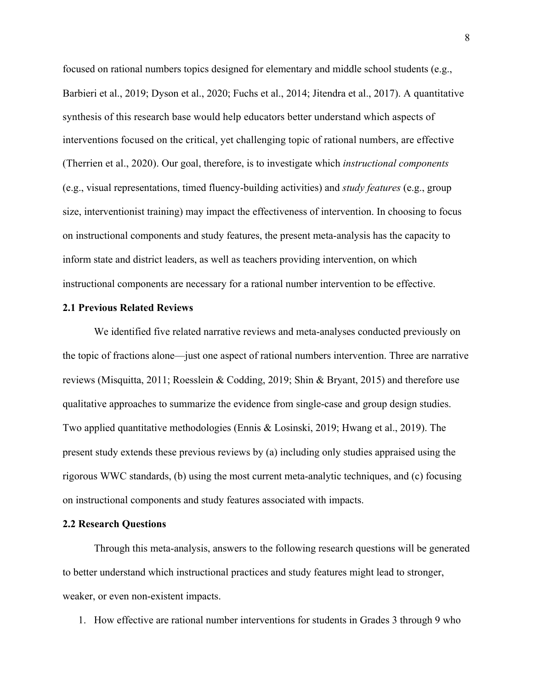focused on rational numbers topics designed for elementary and middle school students (e.g., Barbieri et al., 2019; Dyson et al., 2020; Fuchs et al., 2014; Jitendra et al., 2017). A quantitative synthesis of this research base would help educators better understand which aspects of interventions focused on the critical, yet challenging topic of rational numbers, are effective (Therrien et al., 2020). Our goal, therefore, is to investigate which *instructional components* (e.g., visual representations, timed fluency-building activities) and *study features* (e.g., group size, interventionist training) may impact the effectiveness of intervention. In choosing to focus on instructional components and study features, the present meta-analysis has the capacity to inform state and district leaders, as well as teachers providing intervention, on which instructional components are necessary for a rational number intervention to be effective.

#### **2.1 Previous Related Reviews**

We identified five related narrative reviews and meta-analyses conducted previously on the topic of fractions alone—just one aspect of rational numbers intervention. Three are narrative reviews (Misquitta, 2011; Roesslein & Codding, 2019; Shin & Bryant, 2015) and therefore use qualitative approaches to summarize the evidence from single-case and group design studies. Two applied quantitative methodologies (Ennis & Losinski, 2019; Hwang et al., 2019). The present study extends these previous reviews by (a) including only studies appraised using the rigorous WWC standards, (b) using the most current meta-analytic techniques, and (c) focusing on instructional components and study features associated with impacts.

#### **2.2 Research Questions**

Through this meta-analysis, answers to the following research questions will be generated to better understand which instructional practices and study features might lead to stronger, weaker, or even non-existent impacts.

1. How effective are rational number interventions for students in Grades 3 through 9 who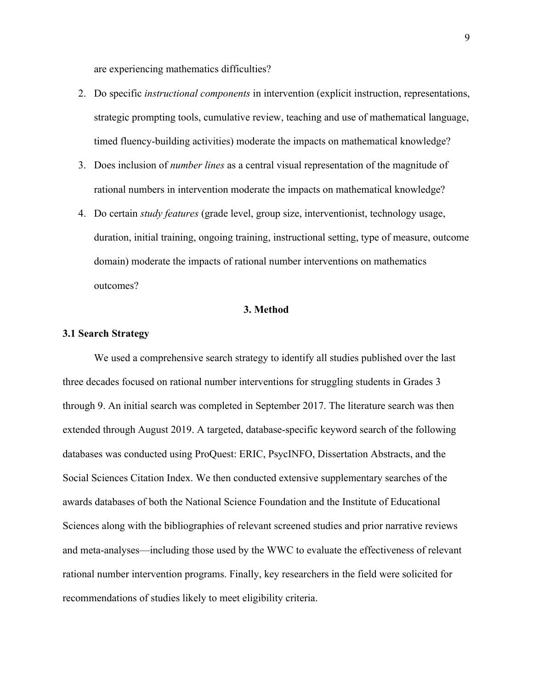are experiencing mathematics difficulties?

- 2. Do specific *instructional components* in intervention (explicit instruction, representations, strategic prompting tools, cumulative review, teaching and use of mathematical language, timed fluency-building activities) moderate the impacts on mathematical knowledge?
- 3. Does inclusion of *number lines* as a central visual representation of the magnitude of rational numbers in intervention moderate the impacts on mathematical knowledge?
- 4. Do certain *study features* (grade level, group size, interventionist, technology usage, duration, initial training, ongoing training, instructional setting, type of measure, outcome domain) moderate the impacts of rational number interventions on mathematics outcomes?

#### **3. Method**

#### **3.1 Search Strategy**

We used a comprehensive search strategy to identify all studies published over the last three decades focused on rational number interventions for struggling students in Grades 3 through 9. An initial search was completed in September 2017. The literature search was then extended through August 2019. A targeted, database-specific keyword search of the following databases was conducted using ProQuest: ERIC, PsycINFO, Dissertation Abstracts, and the Social Sciences Citation Index. We then conducted extensive supplementary searches of the awards databases of both the National Science Foundation and the Institute of Educational Sciences along with the bibliographies of relevant screened studies and prior narrative reviews and meta-analyses—including those used by the WWC to evaluate the effectiveness of relevant rational number intervention programs. Finally, key researchers in the field were solicited for recommendations of studies likely to meet eligibility criteria.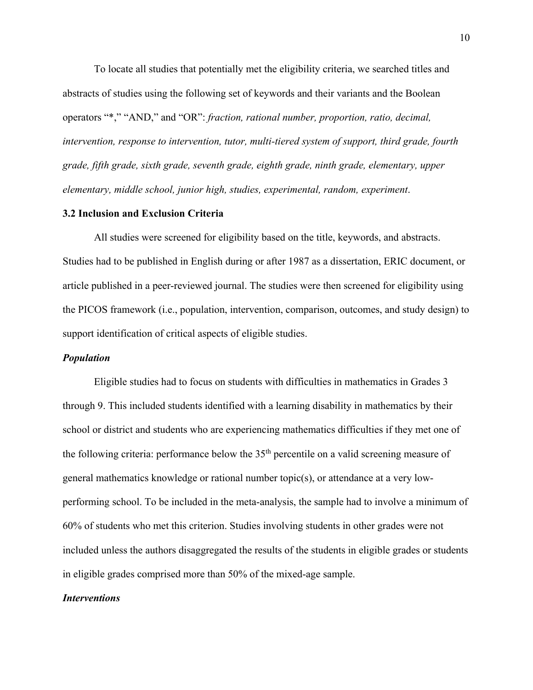To locate all studies that potentially met the eligibility criteria, we searched titles and abstracts of studies using the following set of keywords and their variants and the Boolean operators "\*," "AND," and "OR": *fraction, rational number, proportion, ratio, decimal, intervention, response to intervention, tutor, multi-tiered system of support, third grade, fourth grade, fifth grade, sixth grade, seventh grade, eighth grade, ninth grade, elementary, upper elementary, middle school, junior high, studies, experimental, random, experiment*.

#### **3.2 Inclusion and Exclusion Criteria**

All studies were screened for eligibility based on the title, keywords, and abstracts. Studies had to be published in English during or after 1987 as a dissertation, ERIC document, or article published in a peer-reviewed journal. The studies were then screened for eligibility using the PICOS framework (i.e., population, intervention, comparison, outcomes, and study design) to support identification of critical aspects of eligible studies.

#### *Population*

Eligible studies had to focus on students with difficulties in mathematics in Grades 3 through 9. This included students identified with a learning disability in mathematics by their school or district and students who are experiencing mathematics difficulties if they met one of the following criteria: performance below the 35th percentile on a valid screening measure of general mathematics knowledge or rational number topic(s), or attendance at a very lowperforming school. To be included in the meta-analysis, the sample had to involve a minimum of 60% of students who met this criterion. Studies involving students in other grades were not included unless the authors disaggregated the results of the students in eligible grades or students in eligible grades comprised more than 50% of the mixed-age sample.

#### *Interventions*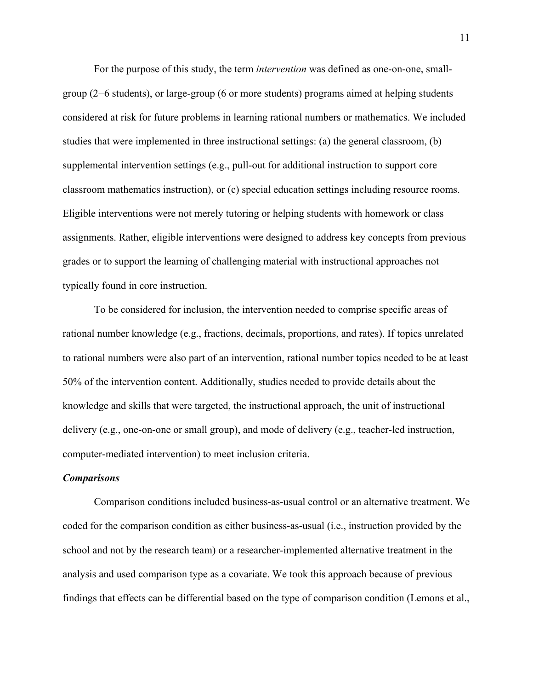For the purpose of this study, the term *intervention* was defined as one-on-one, smallgroup (2−6 students), or large-group (6 or more students) programs aimed at helping students considered at risk for future problems in learning rational numbers or mathematics. We included studies that were implemented in three instructional settings: (a) the general classroom, (b) supplemental intervention settings (e.g., pull-out for additional instruction to support core classroom mathematics instruction), or (c) special education settings including resource rooms. Eligible interventions were not merely tutoring or helping students with homework or class assignments. Rather, eligible interventions were designed to address key concepts from previous grades or to support the learning of challenging material with instructional approaches not typically found in core instruction.

To be considered for inclusion, the intervention needed to comprise specific areas of rational number knowledge (e.g., fractions, decimals, proportions, and rates). If topics unrelated to rational numbers were also part of an intervention, rational number topics needed to be at least 50% of the intervention content. Additionally, studies needed to provide details about the knowledge and skills that were targeted, the instructional approach, the unit of instructional delivery (e.g., one-on-one or small group), and mode of delivery (e.g., teacher-led instruction, computer-mediated intervention) to meet inclusion criteria.

#### *Comparisons*

Comparison conditions included business-as-usual control or an alternative treatment. We coded for the comparison condition as either business-as-usual (i.e., instruction provided by the school and not by the research team) or a researcher-implemented alternative treatment in the analysis and used comparison type as a covariate. We took this approach because of previous findings that effects can be differential based on the type of comparison condition (Lemons et al.,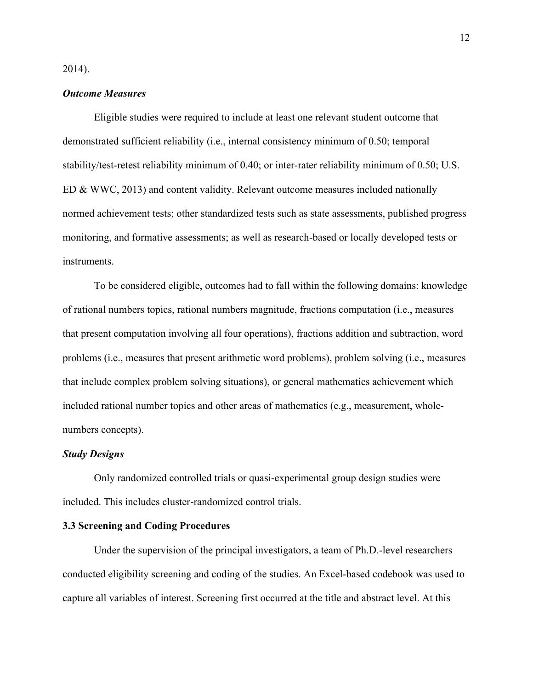2014).

#### *Outcome Measures*

Eligible studies were required to include at least one relevant student outcome that demonstrated sufficient reliability (i.e., internal consistency minimum of 0.50; temporal stability/test-retest reliability minimum of 0.40; or inter-rater reliability minimum of 0.50; U.S. ED & WWC, 2013) and content validity. Relevant outcome measures included nationally normed achievement tests; other standardized tests such as state assessments, published progress monitoring, and formative assessments; as well as research-based or locally developed tests or instruments.

To be considered eligible, outcomes had to fall within the following domains: knowledge of rational numbers topics, rational numbers magnitude, fractions computation (i.e., measures that present computation involving all four operations), fractions addition and subtraction, word problems (i.e., measures that present arithmetic word problems), problem solving (i.e., measures that include complex problem solving situations), or general mathematics achievement which included rational number topics and other areas of mathematics (e.g., measurement, wholenumbers concepts).

#### *Study Designs*

Only randomized controlled trials or quasi-experimental group design studies were included. This includes cluster-randomized control trials.

#### **3.3 Screening and Coding Procedures**

Under the supervision of the principal investigators, a team of Ph.D.-level researchers conducted eligibility screening and coding of the studies. An Excel-based codebook was used to capture all variables of interest. Screening first occurred at the title and abstract level. At this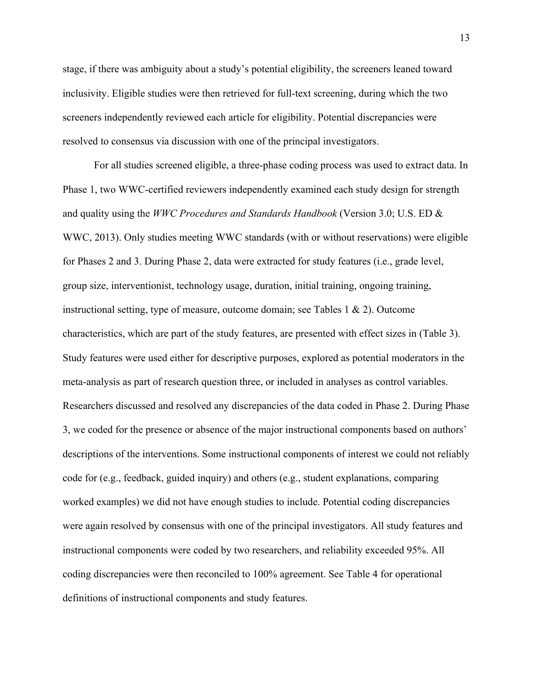stage, if there was ambiguity about a study's potential eligibility, the screeners leaned toward inclusivity. Eligible studies were then retrieved for full-text screening, during which the two screeners independently reviewed each article for eligibility. Potential discrepancies were resolved to consensus via discussion with one of the principal investigators.

For all studies screened eligible, a three-phase coding process was used to extract data. In Phase 1, two WWC-certified reviewers independently examined each study design for strength and quality using the *WWC Procedures and Standards Handbook* (Version 3.0; U.S. ED & WWC, 2013). Only studies meeting WWC standards (with or without reservations) were eligible for Phases 2 and 3. During Phase 2, data were extracted for study features (i.e., grade level, group size, interventionist, technology usage, duration, initial training, ongoing training, instructional setting, type of measure, outcome domain; see Tables 1 & 2). Outcome characteristics, which are part of the study features, are presented with effect sizes in (Table 3). Study features were used either for descriptive purposes, explored as potential moderators in the meta-analysis as part of research question three, or included in analyses as control variables. Researchers discussed and resolved any discrepancies of the data coded in Phase 2. During Phase 3, we coded for the presence or absence of the major instructional components based on authors' descriptions of the interventions. Some instructional components of interest we could not reliably code for (e.g., feedback, guided inquiry) and others (e.g., student explanations, comparing worked examples) we did not have enough studies to include. Potential coding discrepancies were again resolved by consensus with one of the principal investigators. All study features and instructional components were coded by two researchers, and reliability exceeded 95%. All coding discrepancies were then reconciled to 100% agreement. See Table 4 for operational definitions of instructional components and study features.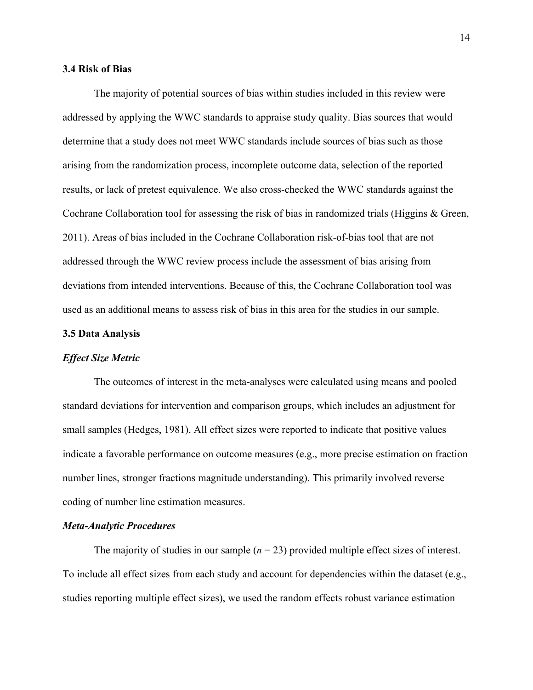#### **3.4 Risk of Bias**

The majority of potential sources of bias within studies included in this review were addressed by applying the WWC standards to appraise study quality. Bias sources that would determine that a study does not meet WWC standards include sources of bias such as those arising from the randomization process, incomplete outcome data, selection of the reported results, or lack of pretest equivalence. We also cross-checked the WWC standards against the Cochrane Collaboration tool for assessing the risk of bias in randomized trials (Higgins & Green, 2011). Areas of bias included in the Cochrane Collaboration risk-of-bias tool that are not addressed through the WWC review process include the assessment of bias arising from deviations from intended interventions. Because of this, the Cochrane Collaboration tool was used as an additional means to assess risk of bias in this area for the studies in our sample.

#### **3.5 Data Analysis**

#### *Effect Size Metric*

The outcomes of interest in the meta-analyses were calculated using means and pooled standard deviations for intervention and comparison groups, which includes an adjustment for small samples (Hedges, 1981). All effect sizes were reported to indicate that positive values indicate a favorable performance on outcome measures (e.g., more precise estimation on fraction number lines, stronger fractions magnitude understanding). This primarily involved reverse coding of number line estimation measures.

#### *Meta-Analytic Procedures*

The majority of studies in our sample  $(n = 23)$  provided multiple effect sizes of interest. To include all effect sizes from each study and account for dependencies within the dataset (e.g., studies reporting multiple effect sizes), we used the random effects robust variance estimation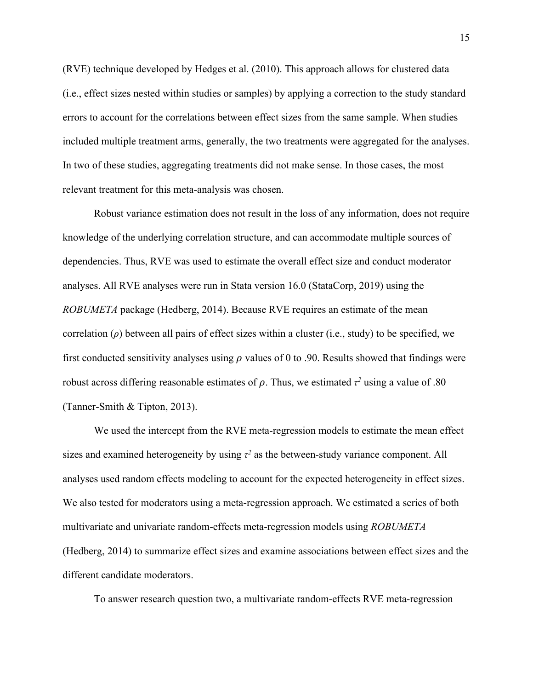(RVE) technique developed by Hedges et al. (2010). This approach allows for clustered data (i.e., effect sizes nested within studies or samples) by applying a correction to the study standard errors to account for the correlations between effect sizes from the same sample. When studies included multiple treatment arms, generally, the two treatments were aggregated for the analyses. In two of these studies, aggregating treatments did not make sense. In those cases, the most relevant treatment for this meta-analysis was chosen.

Robust variance estimation does not result in the loss of any information, does not require knowledge of the underlying correlation structure, and can accommodate multiple sources of dependencies. Thus, RVE was used to estimate the overall effect size and conduct moderator analyses. All RVE analyses were run in Stata version 16.0 (StataCorp, 2019) using the *ROBUMETA* package (Hedberg, 2014). Because RVE requires an estimate of the mean correlation (*ρ*) between all pairs of effect sizes within a cluster (i.e., study) to be specified, we first conducted sensitivity analyses using  $\rho$  values of 0 to .90. Results showed that findings were robust across differing reasonable estimates of  $\rho$ . Thus, we estimated  $\tau^2$  using a value of .80 (Tanner-Smith & Tipton, 2013).

We used the intercept from the RVE meta-regression models to estimate the mean effect sizes and examined heterogeneity by using  $\tau^2$  as the between-study variance component. All analyses used random effects modeling to account for the expected heterogeneity in effect sizes. We also tested for moderators using a meta-regression approach. We estimated a series of both multivariate and univariate random-effects meta-regression models using *ROBUMETA* (Hedberg, 2014) to summarize effect sizes and examine associations between effect sizes and the different candidate moderators.

To answer research question two, a multivariate random-effects RVE meta-regression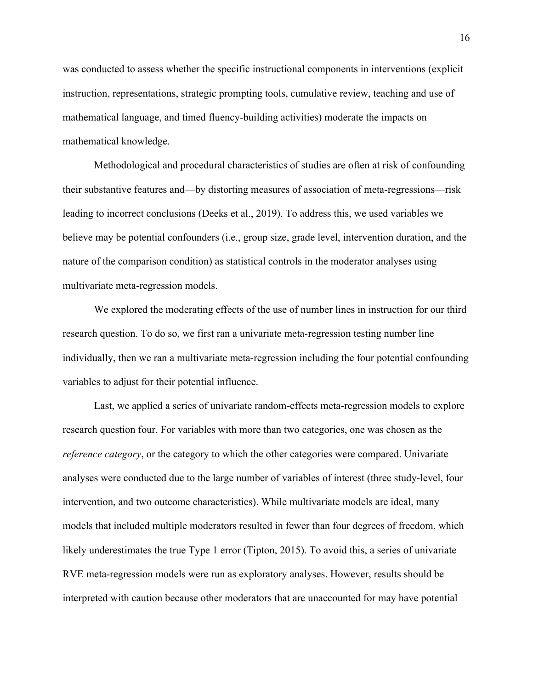was conducted to assess whether the specific instructional components in interventions (explicit instruction, representations, strategic prompting tools, cumulative review, teaching and use of mathematical language, and timed fluency-building activities) moderate the impacts on mathematical knowledge.

Methodological and procedural characteristics of studies are often at risk of confounding their substantive features and—by distorting measures of association of meta-regressions—risk leading to incorrect conclusions (Deeks et al., 2019). To address this, we used variables we believe may be potential confounders (i.e., group size, grade level, intervention duration, and the nature of the comparison condition) as statistical controls in the moderator analyses using multivariate meta-regression models.

We explored the moderating effects of the use of number lines in instruction for our third research question. To do so, we first ran a univariate meta-regression testing number line individually, then we ran a multivariate meta-regression including the four potential confounding variables to adjust for their potential influence.

Last, we applied a series of univariate random-effects meta-regression models to explore research question four. For variables with more than two categories, one was chosen as the *reference category*, or the category to which the other categories were compared. Univariate analyses were conducted due to the large number of variables of interest (three study-level, four intervention, and two outcome characteristics). While multivariate models are ideal, many models that included multiple moderators resulted in fewer than four degrees of freedom, which likely underestimates the true Type 1 error (Tipton, 2015). To avoid this, a series of univariate RVE meta-regression models were run as exploratory analyses. However, results should be interpreted with caution because other moderators that are unaccounted for may have potential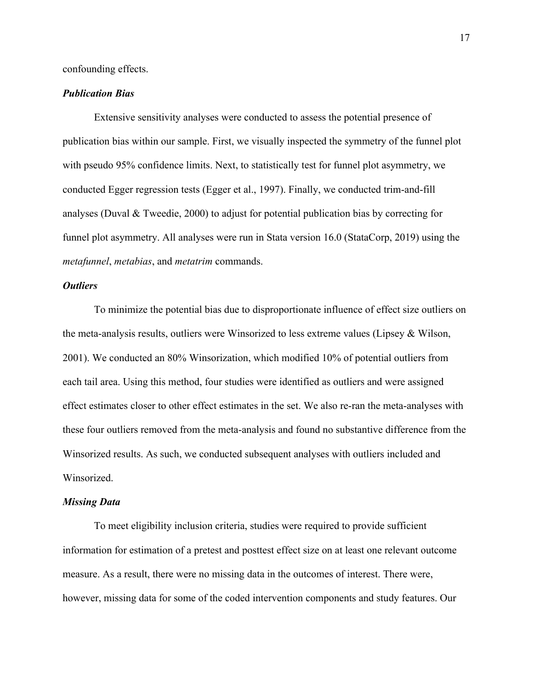confounding effects.

#### *Publication Bias*

Extensive sensitivity analyses were conducted to assess the potential presence of publication bias within our sample. First, we visually inspected the symmetry of the funnel plot with pseudo 95% confidence limits. Next, to statistically test for funnel plot asymmetry, we conducted Egger regression tests (Egger et al., 1997). Finally, we conducted trim-and-fill analyses (Duval & Tweedie, 2000) to adjust for potential publication bias by correcting for funnel plot asymmetry. All analyses were run in Stata version 16.0 (StataCorp, 2019) using the *metafunnel*, *metabias*, and *metatrim* commands.

#### *Outliers*

To minimize the potential bias due to disproportionate influence of effect size outliers on the meta-analysis results, outliers were Winsorized to less extreme values (Lipsey & Wilson, 2001). We conducted an 80% Winsorization, which modified 10% of potential outliers from each tail area. Using this method, four studies were identified as outliers and were assigned effect estimates closer to other effect estimates in the set. We also re-ran the meta-analyses with these four outliers removed from the meta-analysis and found no substantive difference from the Winsorized results. As such, we conducted subsequent analyses with outliers included and Winsorized.

#### *Missing Data*

To meet eligibility inclusion criteria, studies were required to provide sufficient information for estimation of a pretest and posttest effect size on at least one relevant outcome measure. As a result, there were no missing data in the outcomes of interest. There were, however, missing data for some of the coded intervention components and study features. Our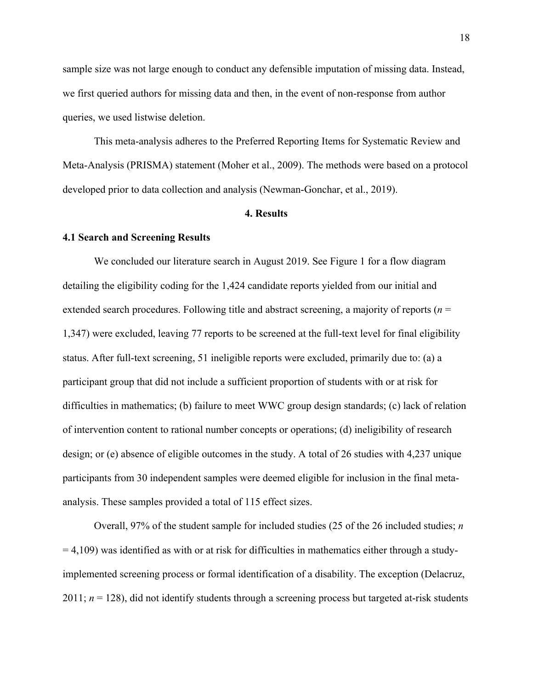sample size was not large enough to conduct any defensible imputation of missing data. Instead, we first queried authors for missing data and then, in the event of non-response from author queries, we used listwise deletion.

This meta-analysis adheres to the Preferred Reporting Items for Systematic Review and Meta-Analysis (PRISMA) statement (Moher et al., 2009). The methods were based on a protocol developed prior to data collection and analysis (Newman-Gonchar, et al., 2019).

#### **4. Results**

#### **4.1 Search and Screening Results**

We concluded our literature search in August 2019. See Figure 1 for a flow diagram detailing the eligibility coding for the 1,424 candidate reports yielded from our initial and extended search procedures. Following title and abstract screening, a majority of reports (*n* = 1,347) were excluded, leaving 77 reports to be screened at the full-text level for final eligibility status. After full-text screening, 51 ineligible reports were excluded, primarily due to: (a) a participant group that did not include a sufficient proportion of students with or at risk for difficulties in mathematics; (b) failure to meet WWC group design standards; (c) lack of relation of intervention content to rational number concepts or operations; (d) ineligibility of research design; or (e) absence of eligible outcomes in the study. A total of 26 studies with 4,237 unique participants from 30 independent samples were deemed eligible for inclusion in the final metaanalysis. These samples provided a total of 115 effect sizes.

Overall, 97% of the student sample for included studies (25 of the 26 included studies; *n*  $= 4,109$ ) was identified as with or at risk for difficulties in mathematics either through a studyimplemented screening process or formal identification of a disability. The exception (Delacruz,  $2011; n = 128$ ), did not identify students through a screening process but targeted at-risk students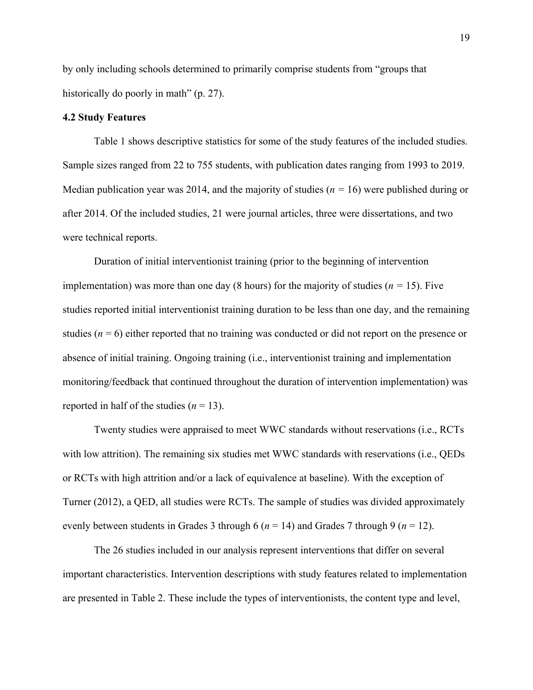by only including schools determined to primarily comprise students from "groups that historically do poorly in math" (p. 27).

#### **4.2 Study Features**

Table 1 shows descriptive statistics for some of the study features of the included studies. Sample sizes ranged from 22 to 755 students, with publication dates ranging from 1993 to 2019. Median publication year was 2014, and the majority of studies (*n =* 16) were published during or after 2014. Of the included studies, 21 were journal articles, three were dissertations, and two were technical reports.

Duration of initial interventionist training (prior to the beginning of intervention implementation) was more than one day (8 hours) for the majority of studies (*n =* 15). Five studies reported initial interventionist training duration to be less than one day, and the remaining studies  $(n = 6)$  either reported that no training was conducted or did not report on the presence or absence of initial training. Ongoing training (i.e., interventionist training and implementation monitoring/feedback that continued throughout the duration of intervention implementation) was reported in half of the studies  $(n = 13)$ .

Twenty studies were appraised to meet WWC standards without reservations (i.e., RCTs with low attrition). The remaining six studies met WWC standards with reservations (i.e., QEDs or RCTs with high attrition and/or a lack of equivalence at baseline). With the exception of Turner (2012), a QED, all studies were RCTs. The sample of studies was divided approximately evenly between students in Grades 3 through 6 (*n* = 14) and Grades 7 through 9 (*n* = 12).

The 26 studies included in our analysis represent interventions that differ on several important characteristics. Intervention descriptions with study features related to implementation are presented in Table 2. These include the types of interventionists, the content type and level,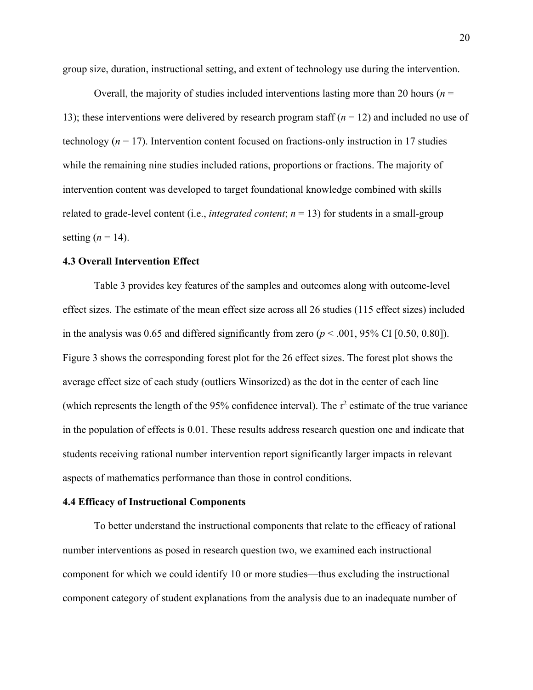group size, duration, instructional setting, and extent of technology use during the intervention.

Overall, the majority of studies included interventions lasting more than 20 hours ( $n =$ 13); these interventions were delivered by research program staff (*n* = 12) and included no use of technology ( $n = 17$ ). Intervention content focused on fractions-only instruction in 17 studies while the remaining nine studies included rations, proportions or fractions. The majority of intervention content was developed to target foundational knowledge combined with skills related to grade-level content (i.e., *integrated content*;  $n = 13$ ) for students in a small-group setting  $(n = 14)$ .

#### **4.3 Overall Intervention Effect**

Table 3 provides key features of the samples and outcomes along with outcome-level effect sizes. The estimate of the mean effect size across all 26 studies (115 effect sizes) included in the analysis was 0.65 and differed significantly from zero  $(p < .001, 95\%$  CI [0.50, 0.80]). Figure 3 shows the corresponding forest plot for the 26 effect sizes. The forest plot shows the average effect size of each study (outliers Winsorized) as the dot in the center of each line (which represents the length of the 95% confidence interval). The  $\tau^2$  estimate of the true variance in the population of effects is 0.01. These results address research question one and indicate that students receiving rational number intervention report significantly larger impacts in relevant aspects of mathematics performance than those in control conditions.

#### **4.4 Efficacy of Instructional Components**

To better understand the instructional components that relate to the efficacy of rational number interventions as posed in research question two, we examined each instructional component for which we could identify 10 or more studies—thus excluding the instructional component category of student explanations from the analysis due to an inadequate number of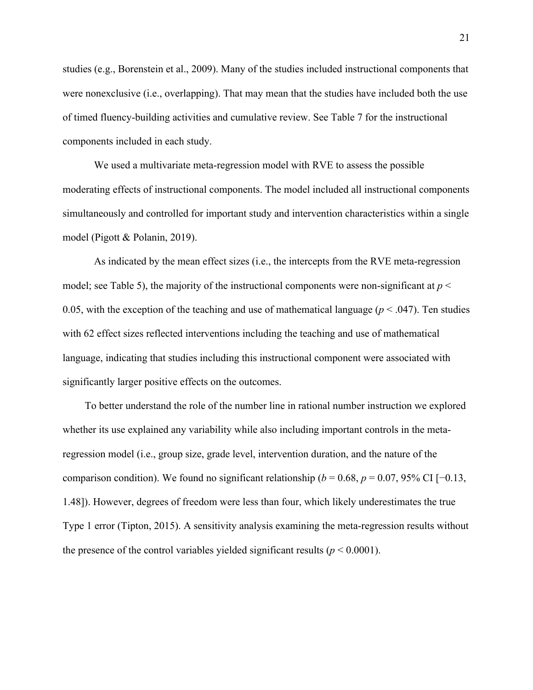studies (e.g., Borenstein et al., 2009). Many of the studies included instructional components that were nonexclusive (i.e., overlapping). That may mean that the studies have included both the use of timed fluency-building activities and cumulative review. See Table 7 for the instructional components included in each study.

We used a multivariate meta-regression model with RVE to assess the possible moderating effects of instructional components. The model included all instructional components simultaneously and controlled for important study and intervention characteristics within a single model (Pigott & Polanin, 2019).

As indicated by the mean effect sizes (i.e., the intercepts from the RVE meta-regression model; see Table 5), the majority of the instructional components were non-significant at *p* < 0.05, with the exception of the teaching and use of mathematical language ( $p < .047$ ). Ten studies with 62 effect sizes reflected interventions including the teaching and use of mathematical language, indicating that studies including this instructional component were associated with significantly larger positive effects on the outcomes.

To better understand the role of the number line in rational number instruction we explored whether its use explained any variability while also including important controls in the metaregression model (i.e., group size, grade level, intervention duration, and the nature of the comparison condition). We found no significant relationship ( $b = 0.68$ ,  $p = 0.07$ , 95% CI [−0.13, 1.48]). However, degrees of freedom were less than four, which likely underestimates the true Type 1 error (Tipton, 2015). A sensitivity analysis examining the meta-regression results without the presence of the control variables yielded significant results  $(p < 0.0001)$ .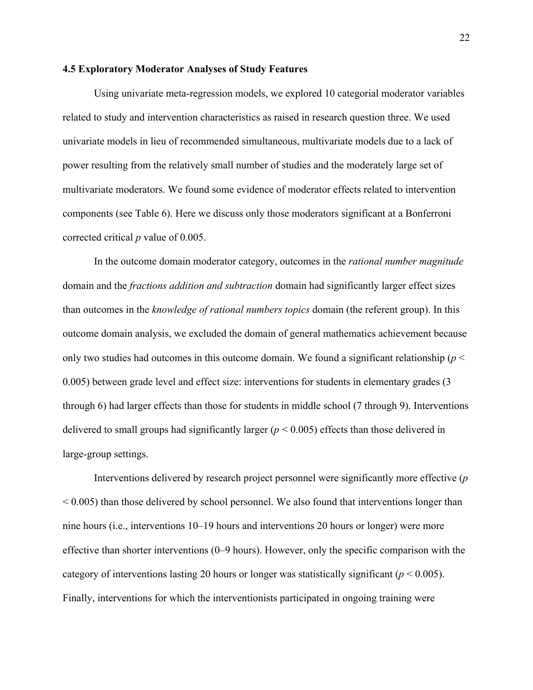#### **4.5 Exploratory Moderator Analyses of Study Features**

Using univariate meta-regression models, we explored 10 categorial moderator variables related to study and intervention characteristics as raised in research question three. We used univariate models in lieu of recommended simultaneous, multivariate models due to a lack of power resulting from the relatively small number of studies and the moderately large set of multivariate moderators. We found some evidence of moderator effects related to intervention components (see Table 6). Here we discuss only those moderators significant at a Bonferroni corrected critical *p* value of 0.005.

In the outcome domain moderator category, outcomes in the *rational number magnitude* domain and the *fractions addition and subtraction* domain had significantly larger effect sizes than outcomes in the *knowledge of rational numbers topics* domain (the referent group). In this outcome domain analysis, we excluded the domain of general mathematics achievement because only two studies had outcomes in this outcome domain. We found a significant relationship ( $p <$ 0.005) between grade level and effect size: interventions for students in elementary grades (3 through 6) had larger effects than those for students in middle school (7 through 9). Interventions delivered to small groups had significantly larger (*p* < 0.005) effects than those delivered in large-group settings.

Interventions delivered by research project personnel were significantly more effective (*p*  $\leq$  0.005) than those delivered by school personnel. We also found that interventions longer than nine hours (i.e., interventions 10–19 hours and interventions 20 hours or longer) were more effective than shorter interventions (0–9 hours). However, only the specific comparison with the category of interventions lasting 20 hours or longer was statistically significant ( $p < 0.005$ ). Finally, interventions for which the interventionists participated in ongoing training were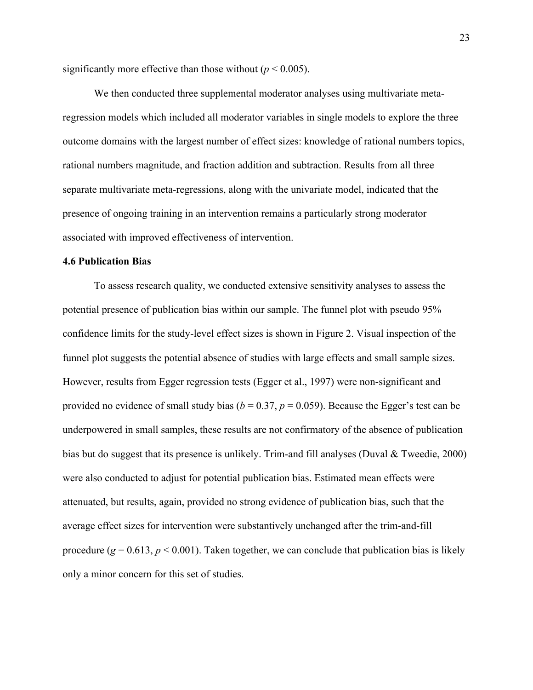significantly more effective than those without  $(p < 0.005)$ .

We then conducted three supplemental moderator analyses using multivariate metaregression models which included all moderator variables in single models to explore the three outcome domains with the largest number of effect sizes: knowledge of rational numbers topics, rational numbers magnitude, and fraction addition and subtraction. Results from all three separate multivariate meta-regressions, along with the univariate model, indicated that the presence of ongoing training in an intervention remains a particularly strong moderator associated with improved effectiveness of intervention.

#### **4.6 Publication Bias**

To assess research quality, we conducted extensive sensitivity analyses to assess the potential presence of publication bias within our sample. The funnel plot with pseudo 95% confidence limits for the study-level effect sizes is shown in Figure 2. Visual inspection of the funnel plot suggests the potential absence of studies with large effects and small sample sizes. However, results from Egger regression tests (Egger et al., 1997) were non-significant and provided no evidence of small study bias ( $b = 0.37$ ,  $p = 0.059$ ). Because the Egger's test can be underpowered in small samples, these results are not confirmatory of the absence of publication bias but do suggest that its presence is unlikely. Trim-and fill analyses (Duval & Tweedie, 2000) were also conducted to adjust for potential publication bias. Estimated mean effects were attenuated, but results, again, provided no strong evidence of publication bias, such that the average effect sizes for intervention were substantively unchanged after the trim-and-fill procedure  $(g = 0.613, p \le 0.001)$ . Taken together, we can conclude that publication bias is likely only a minor concern for this set of studies.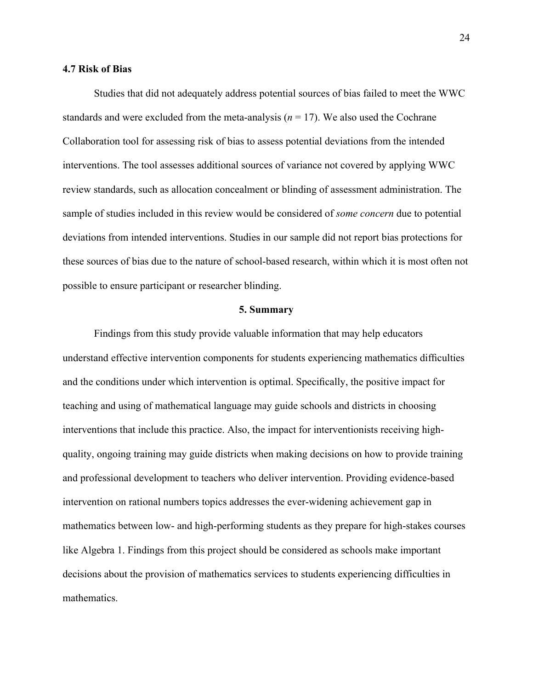#### **4.7 Risk of Bias**

Studies that did not adequately address potential sources of bias failed to meet the WWC standards and were excluded from the meta-analysis  $(n = 17)$ . We also used the Cochrane Collaboration tool for assessing risk of bias to assess potential deviations from the intended interventions. The tool assesses additional sources of variance not covered by applying WWC review standards, such as allocation concealment or blinding of assessment administration. The sample of studies included in this review would be considered of *some concern* due to potential deviations from intended interventions. Studies in our sample did not report bias protections for these sources of bias due to the nature of school-based research, within which it is most often not possible to ensure participant or researcher blinding.

#### **5. Summary**

Findings from this study provide valuable information that may help educators understand effective intervention components for students experiencing mathematics difficulties and the conditions under which intervention is optimal. Specifically, the positive impact for teaching and using of mathematical language may guide schools and districts in choosing interventions that include this practice. Also, the impact for interventionists receiving highquality, ongoing training may guide districts when making decisions on how to provide training and professional development to teachers who deliver intervention. Providing evidence-based intervention on rational numbers topics addresses the ever-widening achievement gap in mathematics between low- and high-performing students as they prepare for high-stakes courses like Algebra 1. Findings from this project should be considered as schools make important decisions about the provision of mathematics services to students experiencing difficulties in mathematics.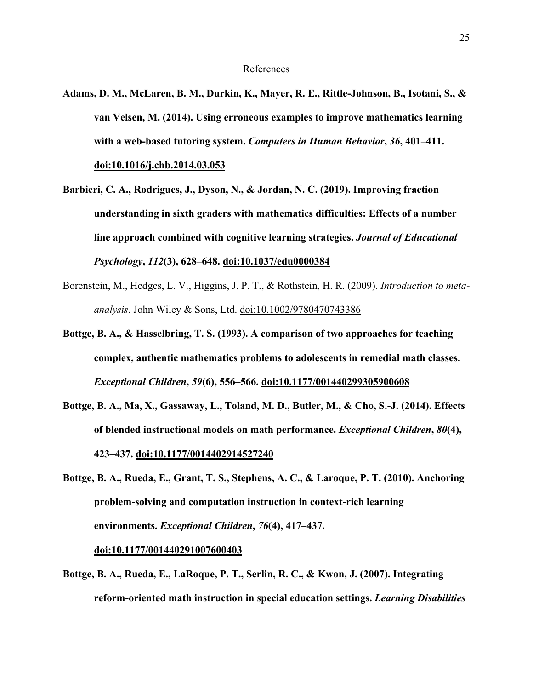- **Adams, D. M., McLaren, B. M., Durkin, K., Mayer, R. E., Rittle-Johnson, B., Isotani, S., & van Velsen, M. (2014). Using erroneous examples to improve mathematics learning with a web-based tutoring system.** *Computers in Human Behavior***,** *36***, 401–411. doi:10.1016/j.chb.2014.03.053**
- **Barbieri, C. A., Rodrigues, J., Dyson, N., & Jordan, N. C. (2019). Improving fraction understanding in sixth graders with mathematics difficulties: Effects of a number line approach combined with cognitive learning strategies.** *Journal of Educational Psychology***,** *112***(3), 628–648. doi:10.1037/edu0000384**
- Borenstein, M., Hedges, L. V., Higgins, J. P. T., & Rothstein, H. R. (2009). *Introduction to metaanalysis*. John Wiley & Sons, Ltd. doi:10.1002/9780470743386
- **Bottge, B. A., & Hasselbring, T. S. (1993). A comparison of two approaches for teaching complex, authentic mathematics problems to adolescents in remedial math classes.**  *Exceptional Children***,** *59***(6), 556–566. doi:10.1177/001440299305900608**
- **Bottge, B. A., Ma, X., Gassaway, L., Toland, M. D., Butler, M., & Cho, S.-J. (2014). Effects of blended instructional models on math performance.** *Exceptional Children***,** *80***(4), 423–437. doi:10.1177/0014402914527240**
- **Bottge, B. A., Rueda, E., Grant, T. S., Stephens, A. C., & Laroque, P. T. (2010). Anchoring problem-solving and computation instruction in context-rich learning environments.** *Exceptional Children***,** *76***(4), 417–437.**

**doi:10.1177/001440291007600403**

**Bottge, B. A., Rueda, E., LaRoque, P. T., Serlin, R. C., & Kwon, J. (2007). Integrating reform-oriented math instruction in special education settings.** *Learning Disabilities*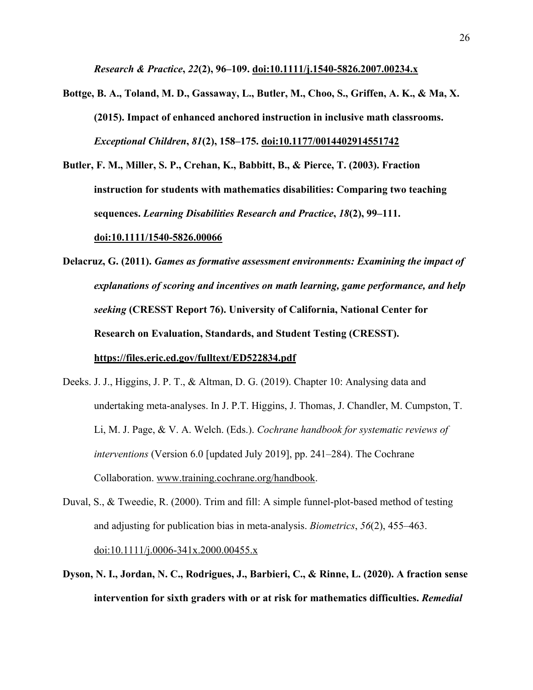*Research & Practice***,** *22***(2), 96–109. doi:10.1111/j.1540-5826.2007.00234.x**

- **Bottge, B. A., Toland, M. D., Gassaway, L., Butler, M., Choo, S., Griffen, A. K., & Ma, X. (2015). Impact of enhanced anchored instruction in inclusive math classrooms.**  *Exceptional Children***,** *81***(2), 158–175. doi:10.1177/0014402914551742**
- **Butler, F. M., Miller, S. P., Crehan, K., Babbitt, B., & Pierce, T. (2003). Fraction instruction for students with mathematics disabilities: Comparing two teaching sequences.** *Learning Disabilities Research and Practice***,** *18***(2), 99–111.**

#### **doi:10.1111/1540-5826.00066**

**Delacruz, G. (2011).** *Games as formative assessment environments: Examining the impact of explanations of scoring and incentives on math learning, game performance, and help seeking* **(CRESST Report 76). University of California, National Center for Research on Evaluation, Standards, and Student Testing (CRESST). https://files.eric.ed.gov/fulltext/ED522834.pdf**

- Deeks. J. J., Higgins, J. P. T., & Altman, D. G. (2019). Chapter 10: Analysing data and undertaking meta-analyses. In J. P.T. Higgins, J. Thomas, J. Chandler, M. Cumpston, T. Li, M. J. Page, & V. A. Welch. (Eds.). *Cochrane handbook for systematic reviews of interventions* (Version 6.0 [updated July 2019], pp. 241–284). The Cochrane Collaboration. www.training.cochrane.org/handbook.
- Duval, S., & Tweedie, R. (2000). Trim and fill: A simple funnel-plot-based method of testing and adjusting for publication bias in meta-analysis. *Biometrics*, *56*(2), 455–463.  $\underline{\text{doi:}}10.1111/ \underline{\text{j}.0006-341} \times 2000.00455 \times$
- **Dyson, N. I., Jordan, N. C., Rodrigues, J., Barbieri, C., & Rinne, L. (2020). A fraction sense intervention for sixth graders with or at risk for mathematics difficulties.** *Remedial*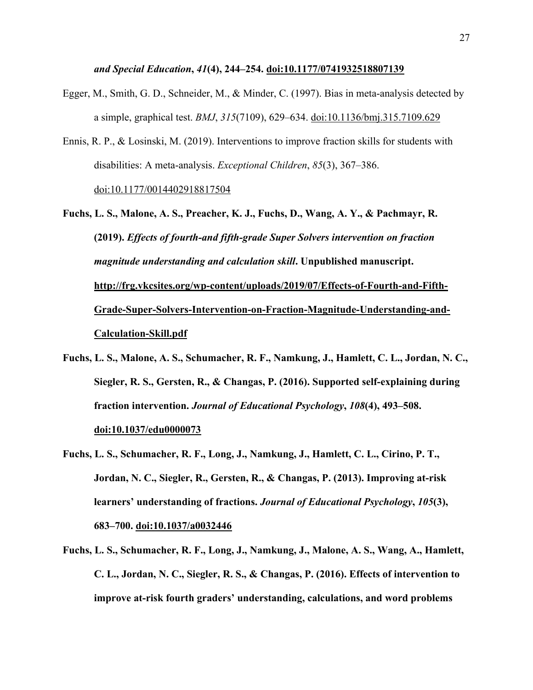#### *and Special Education***,** *41***(4), 244–254. doi:10.1177/0741932518807139**

- Egger, M., Smith, G. D., Schneider, M., & Minder, C. (1997). Bias in meta-analysis detected by a simple, graphical test. *BMJ*, *315*(7109), 629–634. doi:10.1136/bmj.315.7109.629
- Ennis, R. P., & Losinski, M. (2019). Interventions to improve fraction skills for students with disabilities: A meta-analysis. *Exceptional Children*, *85*(3), 367–386. doi:10.1177/0014402918817504
- **Fuchs, L. S., Malone, A. S., Preacher, K. J., Fuchs, D., Wang, A. Y., & Pachmayr, R. (2019).** *Effects of fourth-and fifth-grade Super Solvers intervention on fraction magnitude understanding and calculation skill***. Unpublished manuscript. http://frg.vkcsites.org/wp-content/uploads/2019/07/Effects-of-Fourth-and-Fifth-Grade-Super-Solvers-Intervention-on-Fraction-Magnitude-Understanding-and-Calculation-Skill.pdf**
- **Fuchs, L. S., Malone, A. S., Schumacher, R. F., Namkung, J., Hamlett, C. L., Jordan, N. C., Siegler, R. S., Gersten, R., & Changas, P. (2016). Supported self-explaining during fraction intervention.** *Journal of Educational Psychology***,** *108***(4), 493–508. doi:10.1037/edu0000073**
- **Fuchs, L. S., Schumacher, R. F., Long, J., Namkung, J., Hamlett, C. L., Cirino, P. T., Jordan, N. C., Siegler, R., Gersten, R., & Changas, P. (2013). Improving at-risk learners' understanding of fractions.** *Journal of Educational Psychology***,** *105***(3), 683–700. doi:10.1037/a0032446**
- **Fuchs, L. S., Schumacher, R. F., Long, J., Namkung, J., Malone, A. S., Wang, A., Hamlett, C. L., Jordan, N. C., Siegler, R. S., & Changas, P. (2016). Effects of intervention to improve at-risk fourth graders' understanding, calculations, and word problems**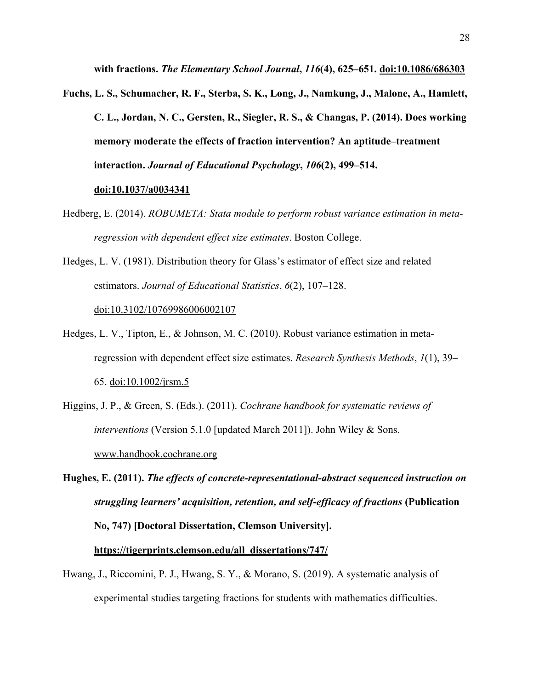**with fractions.** *The Elementary School Journal***,** *116***(4), 625–651. doi:10.1086/686303**

**Fuchs, L. S., Schumacher, R. F., Sterba, S. K., Long, J., Namkung, J., Malone, A., Hamlett, C. L., Jordan, N. C., Gersten, R., Siegler, R. S., & Changas, P. (2014). Does working memory moderate the effects of fraction intervention? An aptitude–treatment interaction.** *Journal of Educational Psychology***,** *106***(2), 499–514.** 

#### **doi:10.1037/a0034341**

- Hedberg, E. (2014). *ROBUMETA: Stata module to perform robust variance estimation in metaregression with dependent effect size estimates*. Boston College.
- Hedges, L. V. (1981). Distribution theory for Glass's estimator of effect size and related estimators. *Journal of Educational Statistics*, *6*(2), 107–128.

doi:10.3102/10769986006002107

- Hedges, L. V., Tipton, E., & Johnson, M. C. (2010). Robust variance estimation in metaregression with dependent effect size estimates. *Research Synthesis Methods*, *1*(1), 39– 65. doi:10.1002/jrsm.5
- Higgins, J. P., & Green, S. (Eds.). (2011). *Cochrane handbook for systematic reviews of interventions* (Version 5.1.0 [updated March 2011]). John Wiley & Sons. www.handbook.cochrane.org
- **Hughes, E. (2011).** *The effects of concrete-representational-abstract sequenced instruction on struggling learners' acquisition, retention, and self-efficacy of fractions* **(Publication No, 747) [Doctoral Dissertation, Clemson University].**

#### **https://tigerprints.clemson.edu/all\_dissertations/747/**

Hwang, J., Riccomini, P. J., Hwang, S. Y., & Morano, S. (2019). A systematic analysis of experimental studies targeting fractions for students with mathematics difficulties.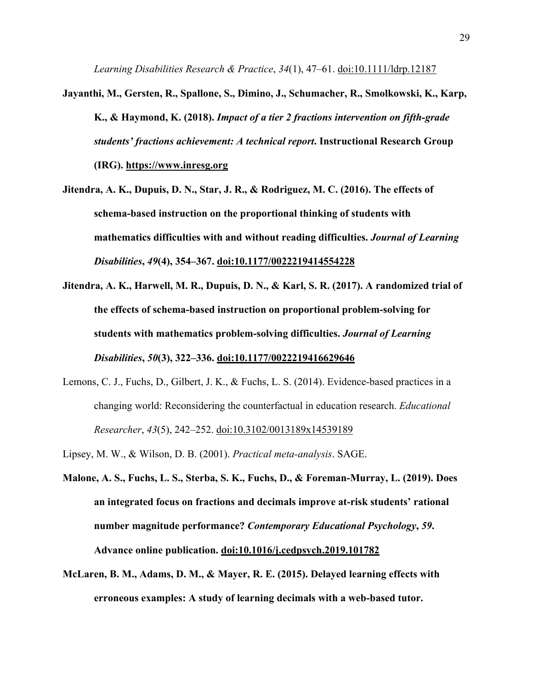*Learning Disabilities Research & Practice*, *34*(1), 47–61. doi:10.1111/ldrp.12187

- **Jayanthi, M., Gersten, R., Spallone, S., Dimino, J., Schumacher, R., Smolkowski, K., Karp, K., & Haymond, K. (2018).** *Impact of a tier 2 fractions intervention on fifth-grade students' fractions achievement: A technical report***. Instructional Research Group (IRG). https://www.inresg.org**
- **Jitendra, A. K., Dupuis, D. N., Star, J. R., & Rodriguez, M. C. (2016). The effects of schema-based instruction on the proportional thinking of students with mathematics difficulties with and without reading difficulties.** *Journal of Learning Disabilities***,** *49***(4), 354–367. doi:10.1177/0022219414554228**
- **Jitendra, A. K., Harwell, M. R., Dupuis, D. N., & Karl, S. R. (2017). A randomized trial of the effects of schema-based instruction on proportional problem-solving for students with mathematics problem-solving difficulties.** *Journal of Learning Disabilities***,** *50***(3), 322–336. doi:10.1177/0022219416629646**
- Lemons, C. J., Fuchs, D., Gilbert, J. K., & Fuchs, L. S. (2014). Evidence-based practices in a changing world: Reconsidering the counterfactual in education research. *Educational Researcher*, *43*(5), 242–252. doi:10.3102/0013189x14539189
- Lipsey, M. W., & Wilson, D. B. (2001). *Practical meta-analysis*. SAGE.
- **Malone, A. S., Fuchs, L. S., Sterba, S. K., Fuchs, D., & Foreman-Murray, L. (2019). Does an integrated focus on fractions and decimals improve at-risk students' rational number magnitude performance?** *Contemporary Educational Psychology***,** *59***. Advance online publication. doi:10.1016/j.cedpsych.2019.101782**
- **McLaren, B. M., Adams, D. M., & Mayer, R. E. (2015). Delayed learning effects with erroneous examples: A study of learning decimals with a web-based tutor.**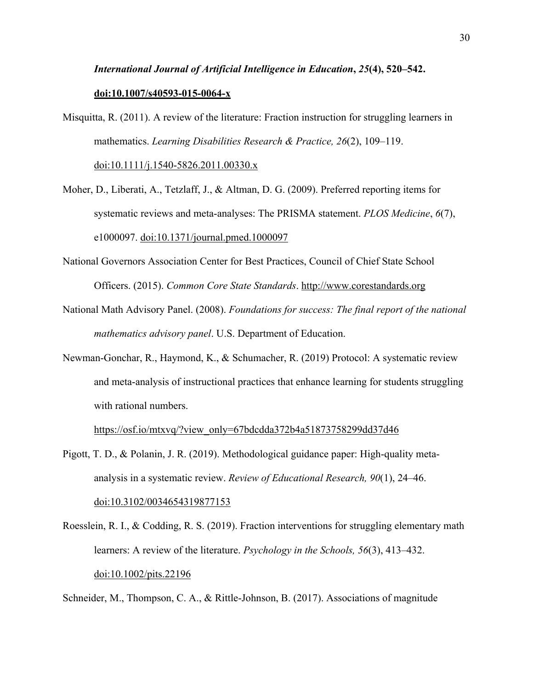# *International Journal of Artificial Intelligence in Education***,** *25***(4), 520–542. doi:10.1007/s40593-015-0064-x**

Misquitta, R. (2011). A review of the literature: Fraction instruction for struggling learners in mathematics. *Learning Disabilities Research & Practice, 26*(2), 109–119.

doi:10.1111/j.1540-5826.2011.00330.x

- Moher, D., Liberati, A., Tetzlaff, J., & Altman, D. G. (2009). Preferred reporting items for systematic reviews and meta-analyses: The PRISMA statement. *PLOS Medicine*, *6*(7), e1000097. doi:10.1371/journal.pmed.1000097
- National Governors Association Center for Best Practices, Council of Chief State School Officers. (2015). *Common Core State Standards*. http://www.corestandards.org
- National Math Advisory Panel. (2008). *Foundations for success: The final report of the national mathematics advisory panel*. U.S. Department of Education.
- Newman-Gonchar, R., Haymond, K., & Schumacher, R. (2019) Protocol: A systematic review and meta-analysis of instructional practices that enhance learning for students struggling with rational numbers.

https://osf.io/mtxvq/?view\_only=67bdcdda372b4a51873758299dd37d46

- Pigott, T. D., & Polanin, J. R. (2019). Methodological guidance paper: High-quality metaanalysis in a systematic review. *Review of Educational Research, 90*(1), 24–46. doi:10.3102/0034654319877153
- Roesslein, R. I., & Codding, R. S. (2019). Fraction interventions for struggling elementary math learners: A review of the literature. *Psychology in the Schools, 56*(3), 413–432. doi:10.1002/pits.22196

Schneider, M., Thompson, C. A., & Rittle-Johnson, B. (2017). Associations of magnitude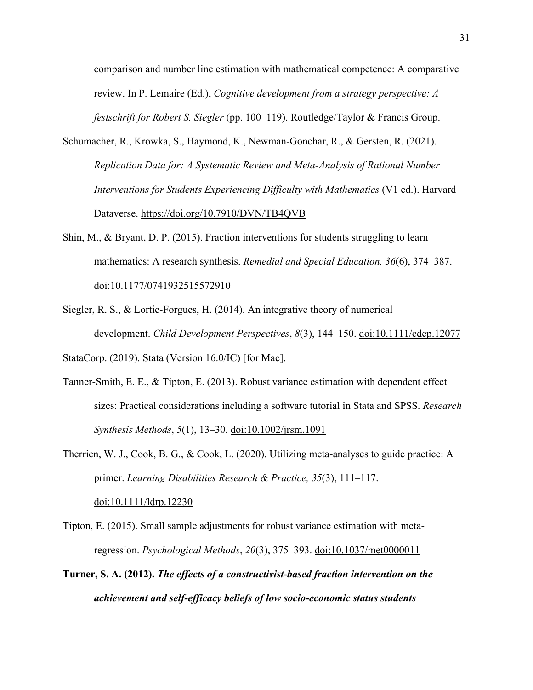comparison and number line estimation with mathematical competence: A comparative review. In P. Lemaire (Ed.), *Cognitive development from a strategy perspective: A festschrift for Robert S. Siegler* (pp. 100–119). Routledge/Taylor & Francis Group.

- Schumacher, R., Krowka, S., Haymond, K., Newman-Gonchar, R., & Gersten, R. (2021). *Replication Data for: A Systematic Review and Meta-Analysis of Rational Number Interventions for Students Experiencing Difficulty with Mathematics* (V1 ed.). Harvard Dataverse. https://doi.org/10.7910/DVN/TB4QVB
- Shin, M., & Bryant, D. P. (2015). Fraction interventions for students struggling to learn mathematics: A research synthesis. *Remedial and Special Education, 36*(6), 374–387. doi:10.1177/0741932515572910
- Siegler, R. S., & Lortie‐Forgues, H. (2014). An integrative theory of numerical development. *Child Development Perspectives*, *8*(3), 144–150. doi:10.1111/cdep.12077

StataCorp. (2019). Stata (Version 16.0/IC) [for Mac].

- Tanner‐Smith, E. E., & Tipton, E. (2013). Robust variance estimation with dependent effect sizes: Practical considerations including a software tutorial in Stata and SPSS. *Research Synthesis Methods*, *5*(1), 13–30. doi:10.1002/jrsm.1091
- Therrien, W. J., Cook, B. G., & Cook, L. (2020). Utilizing meta-analyses to guide practice: A primer. *Learning Disabilities Research & Practice, 35*(3), 111–117. doi:10.1111/ldrp.12230
- Tipton, E. (2015). Small sample adjustments for robust variance estimation with metaregression. *Psychological Methods*, *20*(3), 375–393. doi:10.1037/met0000011
- **Turner, S. A. (2012).** *The effects of a constructivist-based fraction intervention on the achievement and self-efficacy beliefs of low socio-economic status students*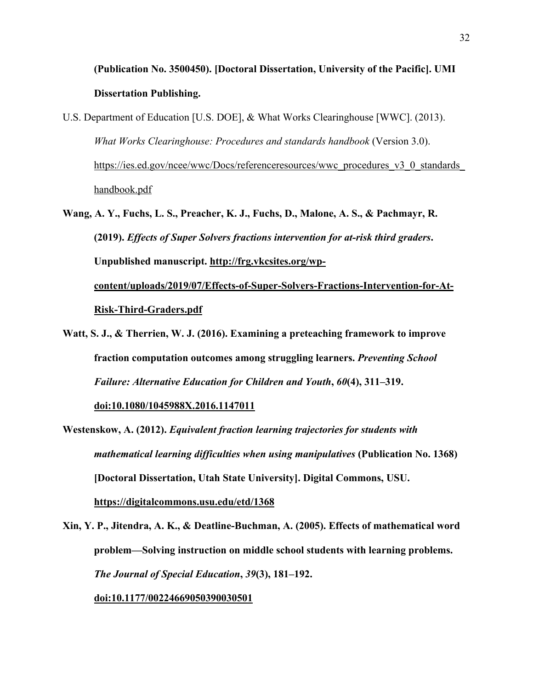# **(Publication No. 3500450). [Doctoral Dissertation, University of the Pacific]. UMI Dissertation Publishing.**

- U.S. Department of Education [U.S. DOE], & What Works Clearinghouse [WWC]. (2013). *What Works Clearinghouse: Procedures and standards handbook* (Version 3.0). https://ies.ed.gov/ncee/wwc/Docs/referenceresources/wwc\_procedures\_v3\_0\_standards handbook.pdf
- **Wang, A. Y., Fuchs, L. S., Preacher, K. J., Fuchs, D., Malone, A. S., & Pachmayr, R. (2019).** *Effects of Super Solvers fractions intervention for at-risk third graders***. Unpublished manuscript. http://frg.vkcsites.org/wpcontent/uploads/2019/07/Effects-of-Super-Solvers-Fractions-Intervention-for-At-Risk-Third-Graders.pdf**
- **Watt, S. J., & Therrien, W. J. (2016). Examining a preteaching framework to improve fraction computation outcomes among struggling learners.** *Preventing School Failure: Alternative Education for Children and Youth***,** *60***(4), 311–319.**

**doi:10.1080/1045988X.2016.1147011**

**Westenskow, A. (2012).** *Equivalent fraction learning trajectories for students with mathematical learning difficulties when using manipulatives* **(Publication No. 1368) [Doctoral Dissertation, Utah State University]. Digital Commons, USU. https://digitalcommons.usu.edu/etd/1368**

**Xin, Y. P., Jitendra, A. K., & Deatline-Buchman, A. (2005). Effects of mathematical word problem—Solving instruction on middle school students with learning problems.**  *The Journal of Special Education***,** *39***(3), 181–192. doi:10.1177/00224669050390030501**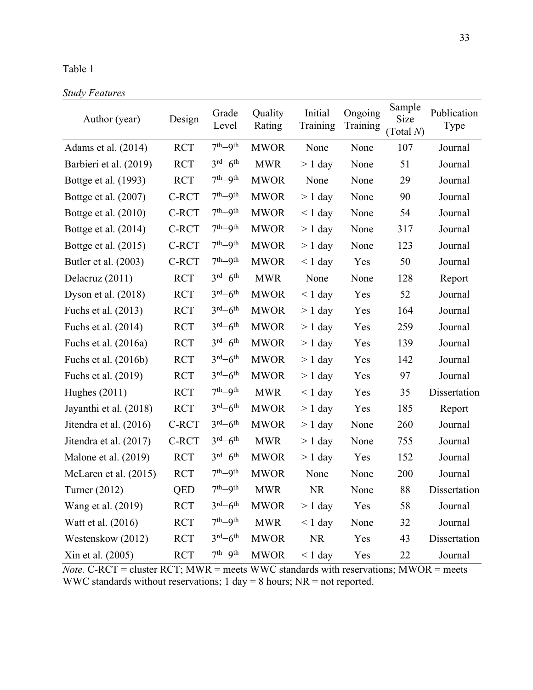### Table 1

| <b>Study Features</b> |
|-----------------------|
|-----------------------|

| Author (year)           | Design     | Grade<br>Level                  | Quality<br>Rating | Initial<br>Training | Ongoing<br>Training | Sample<br>Size<br>(Total N) | Publication<br>Type |
|-------------------------|------------|---------------------------------|-------------------|---------------------|---------------------|-----------------------------|---------------------|
| Adams et al. $(2014)$   | <b>RCT</b> | $7th-9th$                       | <b>MWOR</b>       | None                | None                | 107                         | Journal             |
| Barbieri et al. (2019)  | <b>RCT</b> | $3rd-6th$                       | <b>MWR</b>        | $> 1$ day           | None                | 51                          | Journal             |
| Bottge et al. (1993)    | <b>RCT</b> | $7th-9th$                       | <b>MWOR</b>       | None                | None                | 29                          | Journal             |
| Bottge et al. (2007)    | C-RCT      | $7th-9th$                       | <b>MWOR</b>       | $> 1$ day           | None                | 90                          | Journal             |
| Bottge et al. (2010)    | C-RCT      | $7th-9th$                       | <b>MWOR</b>       | $\leq 1$ day        | None                | 54                          | Journal             |
| Bottge et al. $(2014)$  | C-RCT      | $7th-9th$                       | <b>MWOR</b>       | $> 1$ day           | None                | 317                         | Journal             |
| Bottge et al. (2015)    | C-RCT      | $7th-9th$                       | <b>MWOR</b>       | $> 1$ day           | None                | 123                         | Journal             |
| Butler et al. (2003)    | C-RCT      | $7th-9th$                       | <b>MWOR</b>       | $\leq 1$ day        | Yes                 | 50                          | Journal             |
| Delacruz (2011)         | <b>RCT</b> | $3^{\text{rd}} - 6^{\text{th}}$ | <b>MWR</b>        | None                | None                | 128                         | Report              |
| Dyson et al. $(2018)$   | <b>RCT</b> | $3^{\text{rd}} - 6^{\text{th}}$ | <b>MWOR</b>       | $< 1$ day           | Yes                 | 52                          | Journal             |
| Fuchs et al. (2013)     | <b>RCT</b> | $3^{\text{rd}} - 6^{\text{th}}$ | <b>MWOR</b>       | $> 1$ day           | Yes                 | 164                         | Journal             |
| Fuchs et al. (2014)     | <b>RCT</b> | $3^{\text{rd}} - 6^{\text{th}}$ | <b>MWOR</b>       | $> 1$ day           | Yes                 | 259                         | Journal             |
| Fuchs et al. $(2016a)$  | <b>RCT</b> | $3^{\text{rd}} - 6^{\text{th}}$ | <b>MWOR</b>       | $> 1$ day           | Yes                 | 139                         | Journal             |
| Fuchs et al. (2016b)    | <b>RCT</b> | $3^{\text{rd}} - 6^{\text{th}}$ | <b>MWOR</b>       | $> 1$ day           | Yes                 | 142                         | Journal             |
| Fuchs et al. (2019)     | <b>RCT</b> | $3^{\text{rd}} - 6^{\text{th}}$ | <b>MWOR</b>       | $> 1$ day           | Yes                 | 97                          | Journal             |
| Hughes $(2011)$         | <b>RCT</b> | $7th-9th$                       | <b>MWR</b>        | $\leq 1$ day        | Yes                 | 35                          | Dissertation        |
| Jayanthi et al. (2018)  | <b>RCT</b> | $3^{\text{rd}} - 6^{\text{th}}$ | <b>MWOR</b>       | $> 1$ day           | Yes                 | 185                         | Report              |
| Jitendra et al. (2016)  | C-RCT      | $3^{\text{rd}} - 6^{\text{th}}$ | <b>MWOR</b>       | $> 1$ day           | None                | 260                         | Journal             |
| Jitendra et al. (2017)  | C-RCT      | $3^{\text{rd}} - 6^{\text{th}}$ | <b>MWR</b>        | $> 1$ day           | None                | 755                         | Journal             |
| Malone et al. (2019)    | <b>RCT</b> | $3^{\text{rd}} - 6^{\text{th}}$ | <b>MWOR</b>       | $> 1$ day           | Yes                 | 152                         | Journal             |
| McLaren et al. $(2015)$ | <b>RCT</b> | $7th - 9th$                     | <b>MWOR</b>       | None                | None                | 200                         | Journal             |
| Turner (2012)           | QED        | $7th$ -9 <sup>th</sup>          | <b>MWR</b>        | <b>NR</b>           | None                | 88                          | Dissertation        |
| Wang et al. (2019)      | <b>RCT</b> | $3^{\text{rd}} - 6^{\text{th}}$ | <b>MWOR</b>       | $> 1$ day           | Yes                 | 58                          | Journal             |
| Watt et al. (2016)      | <b>RCT</b> | $7th-9th$                       | <b>MWR</b>        | $< 1$ day           | None                | 32                          | Journal             |
| Westenskow (2012)       | <b>RCT</b> | $3^{\text{rd}} - 6^{\text{th}}$ | <b>MWOR</b>       | <b>NR</b>           | Yes                 | 43                          | Dissertation        |
| Xin et al. (2005)       | <b>RCT</b> | $7^{\rm th}\!\!-\!\!9^{\rm th}$ | <b>MWOR</b>       | $< 1$ day           | Yes                 | 22                          | Journal             |

*Note.* C-RCT = cluster RCT; MWR = meets WWC standards with reservations; MWOR = meets WWC standards without reservations;  $1 \text{ day} = 8 \text{ hours}$ ; NR = not reported.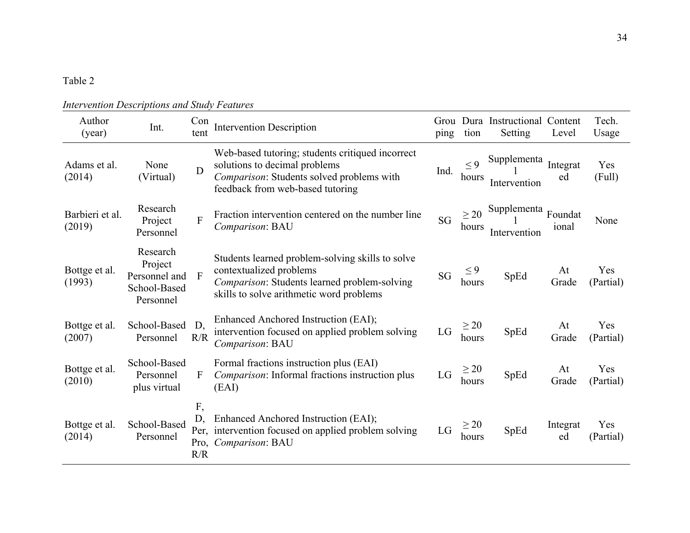### Table 2

| Author<br>(year)          | Int.                                                              | Con<br>tent             | <b>Intervention Description</b>                                                                                                                                         | ping                       | tion               | Grou Dura Instructional Content<br>Setting | Level          | Tech.<br>Usage   |
|---------------------------|-------------------------------------------------------------------|-------------------------|-------------------------------------------------------------------------------------------------------------------------------------------------------------------------|----------------------------|--------------------|--------------------------------------------|----------------|------------------|
| Adams et al.<br>(2014)    | None<br>(Virtual)                                                 | D                       | Web-based tutoring; students critiqued incorrect<br>solutions to decimal problems<br>Comparison: Students solved problems with<br>feedback from web-based tutoring      | Ind.                       | $\leq$ 9<br>hours  | Supplementa<br>Intervention                | Integrat<br>ed | Yes<br>(Full)    |
| Barbieri et al.<br>(2019) | Research<br>Project<br>Personnel                                  | $\overline{F}$          | Fraction intervention centered on the number line<br>Comparison: BAU                                                                                                    | <b>SG</b>                  | $\geq$ 20<br>hours | Supplementa Foundat<br>Intervention        | ional          | None             |
| Bottge et al.<br>(1993)   | Research<br>Project<br>Personnel and<br>School-Based<br>Personnel | $\overline{F}$          | Students learned problem-solving skills to solve<br>contextualized problems<br>Comparison: Students learned problem-solving<br>skills to solve arithmetic word problems | SG                         | $\leq 9$<br>hours  | SpEd                                       | At<br>Grade    | Yes<br>(Partial) |
| Bottge et al.<br>(2007)   | School-Based<br>Personnel                                         | D,<br>R/R               | Enhanced Anchored Instruction (EAI);<br>intervention focused on applied problem solving<br>Comparison: BAU                                                              | $\mathop{\rm LG}\nolimits$ | $\geq 20$<br>hours | SpEd                                       | At<br>Grade    | Yes<br>(Partial) |
| Bottge et al.<br>(2010)   | School-Based<br>Personnel<br>plus virtual                         | F                       | Formal fractions instruction plus (EAI)<br>Comparison: Informal fractions instruction plus<br>(EAI)                                                                     | LG                         | $\geq 20$<br>hours | SpEd                                       | At<br>Grade    | Yes<br>(Partial) |
| Bottge et al.<br>(2014)   | School-Based<br>Personnel                                         | F,<br>D,<br>Pro,<br>R/R | Enhanced Anchored Instruction (EAI);<br>Per, intervention focused on applied problem solving<br>Comparison: BAU                                                         | LG                         | $\geq 20$<br>hours | SpEd                                       | Integrat<br>ed | Yes<br>(Partial) |

### *Intervention Descriptions and Study Features*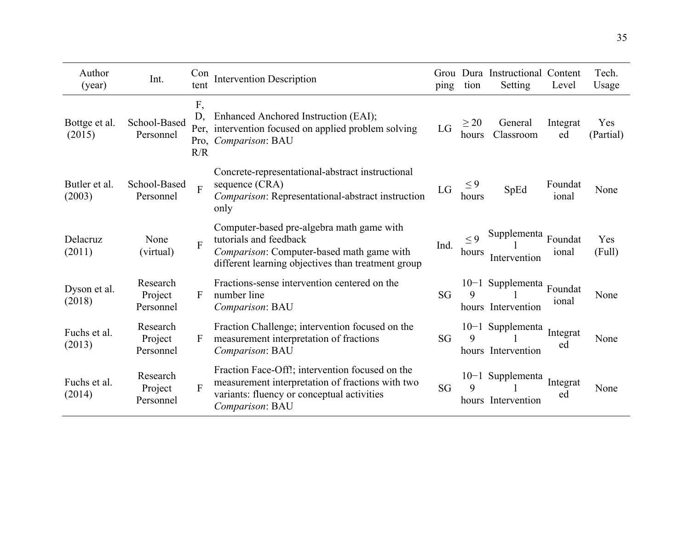| Author<br>(year)        | Int.                             | Con<br>tent     | <b>Intervention Description</b>                                                                                                                                        | ping      | tion               | Grou Dura Instructional Content<br>Setting | Level            | Tech.<br>Usage   |
|-------------------------|----------------------------------|-----------------|------------------------------------------------------------------------------------------------------------------------------------------------------------------------|-----------|--------------------|--------------------------------------------|------------------|------------------|
| Bottge et al.<br>(2015) | School-Based<br>Personnel        | F,<br>D.<br>R/R | Enhanced Anchored Instruction (EAI);<br>Per, intervention focused on applied problem solving<br>Pro, Comparison: BAU                                                   | LG        | $\geq$ 20<br>hours | General<br>Classroom                       | Integrat<br>ed   | Yes<br>(Partial) |
| Butler et al.<br>(2003) | School-Based<br>Personnel        | $\overline{F}$  | Concrete-representational-abstract instructional<br>sequence (CRA)<br>Comparison: Representational-abstract instruction<br>only                                        | LG        | $\leq$ 9<br>hours  | SpEd                                       | Foundat<br>ional | None             |
| Delacruz<br>(2011)      | None<br>(virtual)                | $\overline{F}$  | Computer-based pre-algebra math game with<br>tutorials and feedback<br>Comparison: Computer-based math game with<br>different learning objectives than treatment group | Ind.      | < 9<br>hours       | Supplementa Foundat<br>Intervention        | ional            | Yes<br>(Full)    |
| Dyson et al.<br>(2018)  | Research<br>Project<br>Personnel | $\mathbf{F}$    | Fractions-sense intervention centered on the<br>number line<br>Comparison: BAU                                                                                         | SG        | 9                  | 10-1 Supplementa<br>hours Intervention     | Foundat<br>ional | None             |
| Fuchs et al.<br>(2013)  | Research<br>Project<br>Personnel | F               | Fraction Challenge; intervention focused on the<br>measurement interpretation of fractions<br>Comparison: BAU                                                          | <b>SG</b> | 9                  | 10-1 Supplementa<br>hours Intervention     | Integrat<br>ed   | None             |
| Fuchs et al.<br>(2014)  | Research<br>Project<br>Personnel | $\mathbf{F}$    | Fraction Face-Off!; intervention focused on the<br>measurement interpretation of fractions with two<br>variants: fluency or conceptual activities<br>Comparison: BAU   | SG        | $\mathbf Q$        | $10-1$ Supplementa<br>hours Intervention   | Integrat<br>ed   | None             |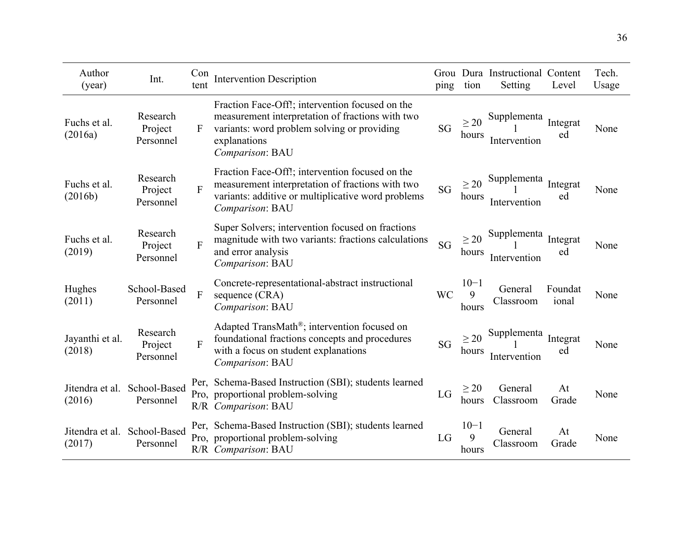| Author<br>(year)          | Int.                             | Con<br>tent  | <b>Intervention Description</b>                                                                                                                                                       | ping      | tion                   | Grou Dura Instructional Content<br>Setting | Level            | Tech.<br>Usage |
|---------------------------|----------------------------------|--------------|---------------------------------------------------------------------------------------------------------------------------------------------------------------------------------------|-----------|------------------------|--------------------------------------------|------------------|----------------|
| Fuchs et al.<br>(2016a)   | Research<br>Project<br>Personnel | $\mathbf{F}$ | Fraction Face-Off!; intervention focused on the<br>measurement interpretation of fractions with two<br>variants: word problem solving or providing<br>explanations<br>Comparison: BAU | <b>SG</b> | $\geq$ 20<br>hours     | Supplementa<br>Intervention                | Integrat<br>ed   | None           |
| Fuchs et al.<br>(2016b)   | Research<br>Project<br>Personnel | F            | Fraction Face-Off!; intervention focused on the<br>measurement interpretation of fractions with two<br>variants: additive or multiplicative word problems<br>Comparison: BAU          | <b>SG</b> | $\geq$ 20<br>hours     | Supplementa<br>Intervention                | Integrat<br>ed   | None           |
| Fuchs et al.<br>(2019)    | Research<br>Project<br>Personnel | F            | Super Solvers; intervention focused on fractions<br>magnitude with two variants: fractions calculations<br>and error analysis<br>Comparison: BAU                                      | SG        | $\geq$ 20<br>hours     | Supplementa<br>Intervention                | Integrat<br>ed   | None           |
| Hughes<br>(2011)          | School-Based<br>Personnel        | ${\bf F}$    | Concrete-representational-abstract instructional<br>sequence (CRA)<br>Comparison: BAU                                                                                                 | <b>WC</b> | $10 - 1$<br>9<br>hours | General<br>Classroom                       | Foundat<br>ional | None           |
| Jayanthi et al.<br>(2018) | Research<br>Project<br>Personnel | F            | Adapted TransMath®; intervention focused on<br>foundational fractions concepts and procedures<br>with a focus on student explanations<br>Comparison: BAU                              | <b>SG</b> | >20<br>hours           | Supplementa<br>Intervention                | Integrat<br>ed   | None           |
| Jitendra et al.<br>(2016) | School-Based<br>Personnel        |              | Per, Schema-Based Instruction (SBI); students learned<br>Pro, proportional problem-solving<br>R/R Comparison: BAU                                                                     | LG        | $\geq$ 20<br>hours     | General<br>Classroom                       | At<br>Grade      | None           |
| Jitendra et al.<br>(2017) | School-Based<br>Personnel        |              | Per, Schema-Based Instruction (SBI); students learned<br>Pro, proportional problem-solving<br>R/R Comparison: BAU                                                                     | LG        | $10 - 1$<br>9<br>hours | General<br>Classroom                       | At<br>Grade      | None           |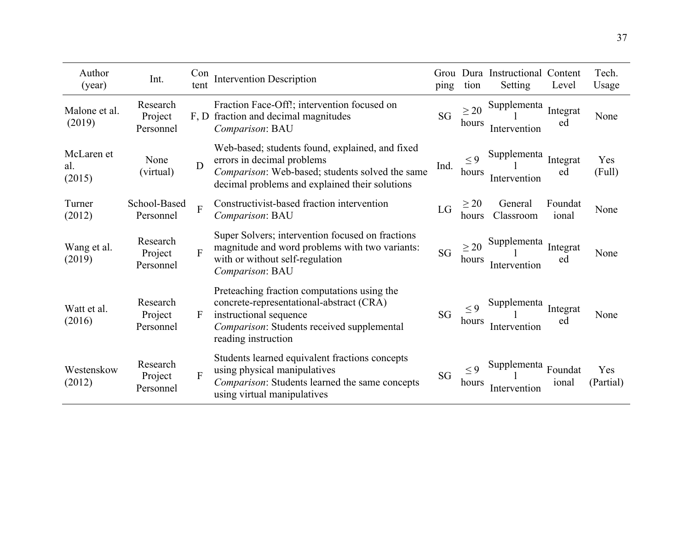| Author<br>(year)            | Int.                             | Con<br>tent    | <b>Intervention Description</b>                                                                                                                                                               | Grou<br>ping | tion               | Dura Instructional Content<br>Setting | Level            | Tech.<br>Usage   |
|-----------------------------|----------------------------------|----------------|-----------------------------------------------------------------------------------------------------------------------------------------------------------------------------------------------|--------------|--------------------|---------------------------------------|------------------|------------------|
| Malone et al.<br>(2019)     | Research<br>Project<br>Personnel | F, D           | Fraction Face-Off!; intervention focused on<br>fraction and decimal magnitudes<br>Comparison: BAU                                                                                             | <b>SG</b>    | $\geq$ 20<br>hours | Supplementa<br>Intervention           | Integrat<br>ed   | None             |
| McLaren et<br>al.<br>(2015) | None<br>(virtual)                | D              | Web-based; students found, explained, and fixed<br>errors in decimal problems<br>Ind.<br>Comparison: Web-based; students solved the same<br>decimal problems and explained their solutions    |              | $\leq 9$<br>hours  | Supplementa<br>Intervention           | Integrat<br>ed   | Yes<br>(Full)    |
| Turner<br>(2012)            | School-Based<br>Personnel        | $\overline{F}$ | Constructivist-based fraction intervention<br>Comparison: BAU                                                                                                                                 | LG           | $\geq$ 20<br>hours | General<br>Classroom                  | Foundat<br>ional | None             |
| Wang et al.<br>(2019)       | Research<br>Project<br>Personnel | F              | Super Solvers; intervention focused on fractions<br>magnitude and word problems with two variants:<br>with or without self-regulation<br>Comparison: BAU                                      | <b>SG</b>    | $\geq$ 20<br>hours | Supplementa<br>Intervention           | Integrat<br>ed   | None             |
| Watt et al.<br>(2016)       | Research<br>Project<br>Personnel | F              | Preteaching fraction computations using the<br>concrete-representational-abstract (CRA)<br>instructional sequence<br><i>Comparison:</i> Students received supplemental<br>reading instruction | SG           | < 9<br>hours       | Supplementa<br>Intervention           | Integrat<br>ed   | None             |
| Westenskow<br>(2012)        | Research<br>Project<br>Personnel | F              | Students learned equivalent fractions concepts<br>using physical manipulatives<br>Comparison: Students learned the same concepts<br>using virtual manipulatives                               | SG           | $\leq 9$<br>hours  | Supplementa<br>Intervention           | Foundat<br>ional | Yes<br>(Partial) |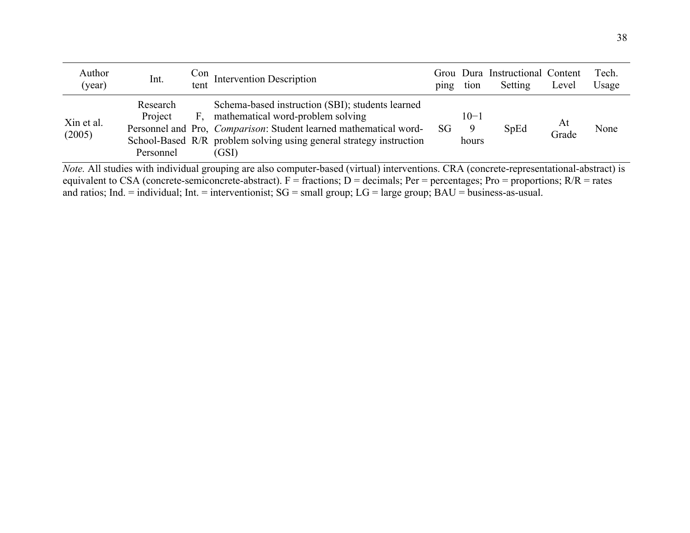| Author<br>(year)     | Int.                             | tent | $\frac{\text{Con}}{\text{fct}}$ Intervention Description                                                                                                                                                                                           | ping | tion                   | Grou Dura Instructional Content<br>Setting | Level       | Tech.<br>Usage |
|----------------------|----------------------------------|------|----------------------------------------------------------------------------------------------------------------------------------------------------------------------------------------------------------------------------------------------------|------|------------------------|--------------------------------------------|-------------|----------------|
| Xin et al.<br>(2005) | Research<br>Project<br>Personnel | F.   | Schema-based instruction (SBI); students learned<br>mathematical word-problem solving<br>Personnel and Pro, <i>Comparison</i> : Student learned mathematical word-<br>School-Based R/R problem solving using general strategy instruction<br>(GSI) | SG   | $10 - 1$<br>9<br>hours | SpEd                                       | At<br>Grade | None           |
|                      |                                  |      | Note All studies with individual grouping are also computer based (virtual) interventions CRA (concrete representational abstract) is                                                                                                              |      |                        |                                            |             |                |

*Note.* All studies with individual grouping are also computer-based (virtual) interventions. CRA (concrete-representational-abstract) is equivalent to CSA (concrete-semiconcrete-abstract).  $F =$  fractions;  $D =$  decimals; Per = percentages; Pro = proportions;  $R/R =$  rates and ratios; Ind. = individual; Int. = interventionist; SG = small group; LG = large group; BAU = business-as-usual.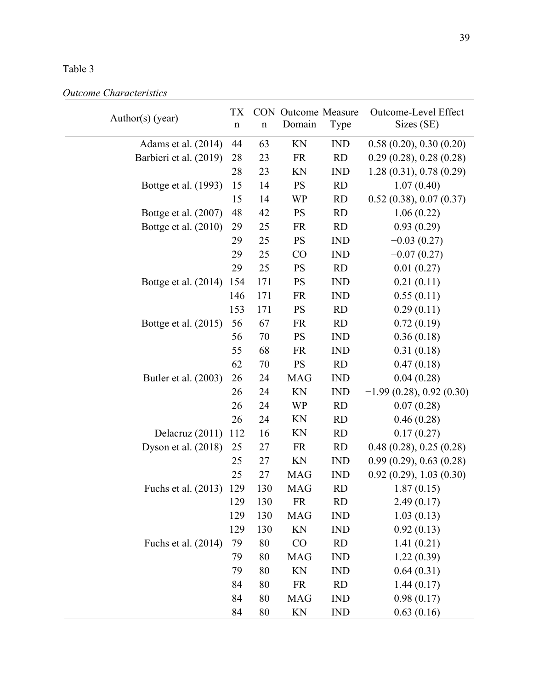### Table 3

| Author(s) (year)       | TX<br>$\mathbf n$ | $\mathbf n$ | <b>CON</b> Outcome Measure<br>Domain | Type       | Outcome-Level Effect<br>Sizes (SE) |
|------------------------|-------------------|-------------|--------------------------------------|------------|------------------------------------|
| Adams et al. $(2014)$  | 44                | 63          | KN                                   | <b>IND</b> | 0.58(0.20), 0.30(0.20)             |
| Barbieri et al. (2019) | 28                | 23          | <b>FR</b>                            | <b>RD</b>  | 0.29(0.28), 0.28(0.28)             |
|                        | 28                | 23          | KN                                   | <b>IND</b> | 1.28(0.31), 0.78(0.29)             |
| Bottge et al. (1993)   | 15                | 14          | <b>PS</b>                            | <b>RD</b>  | 1.07(0.40)                         |
|                        | 15                | 14          | <b>WP</b>                            | <b>RD</b>  | 0.52(0.38), 0.07(0.37)             |
| Bottge et al. (2007)   | 48                | 42          | <b>PS</b>                            | <b>RD</b>  | 1.06(0.22)                         |
| Bottge et al. (2010)   | 29                | 25          | <b>FR</b>                            | <b>RD</b>  | 0.93(0.29)                         |
|                        | 29                | 25          | <b>PS</b>                            | <b>IND</b> | $-0.03(0.27)$                      |
|                        | 29                | 25          | CO                                   | <b>IND</b> | $-0.07(0.27)$                      |
|                        | 29                | 25          | <b>PS</b>                            | <b>RD</b>  | 0.01(0.27)                         |
| Bottge et al. (2014)   | 154               | 171         | <b>PS</b>                            | <b>IND</b> | 0.21(0.11)                         |
|                        | 146               | 171         | <b>FR</b>                            | <b>IND</b> | 0.55(0.11)                         |
|                        | 153               | 171         | <b>PS</b>                            | <b>RD</b>  | 0.29(0.11)                         |
| Bottge et al. (2015)   | 56                | 67          | <b>FR</b>                            | <b>RD</b>  | 0.72(0.19)                         |
|                        | 56                | 70          | <b>PS</b>                            | <b>IND</b> | 0.36(0.18)                         |
|                        | 55                | 68          | <b>FR</b>                            | <b>IND</b> | 0.31(0.18)                         |
|                        | 62                | 70          | <b>PS</b>                            | <b>RD</b>  | 0.47(0.18)                         |
| Butler et al. (2003)   | 26                | 24          | <b>MAG</b>                           | <b>IND</b> | 0.04(0.28)                         |
|                        | 26                | 24          | KN                                   | <b>IND</b> | $-1.99(0.28), 0.92(0.30)$          |
|                        | 26                | 24          | <b>WP</b>                            | <b>RD</b>  | 0.07(0.28)                         |
|                        | 26                | 24          | KN                                   | <b>RD</b>  | 0.46(0.28)                         |
| Delacruz (2011)        | 112               | 16          | KN                                   | <b>RD</b>  | 0.17(0.27)                         |
| Dyson et al. (2018)    | 25                | 27          | <b>FR</b>                            | <b>RD</b>  | 0.48(0.28), 0.25(0.28)             |
|                        | 25                | 27          | KN                                   | <b>IND</b> | 0.99(0.29), 0.63(0.28)             |
|                        | 25                | 27          | <b>MAG</b>                           | <b>IND</b> | 0.92(0.29), 1.03(0.30)             |
| Fuchs et al. (2013)    | 129               | 130         | <b>MAG</b>                           | <b>RD</b>  | 1.87(0.15)                         |
|                        | 129               | 130         | <b>FR</b>                            | <b>RD</b>  | 2.49(0.17)                         |
|                        | 129               | 130         | <b>MAG</b>                           | <b>IND</b> | 1.03(0.13)                         |
|                        | 129               | 130         | KN                                   | <b>IND</b> | 0.92(0.13)                         |
| Fuchs et al. (2014)    | 79                | 80          | CO                                   | <b>RD</b>  | 1.41(0.21)                         |
|                        | 79                | 80          | <b>MAG</b>                           | <b>IND</b> | 1.22(0.39)                         |
|                        | 79                | 80          | KN                                   | <b>IND</b> | 0.64(0.31)                         |
|                        | 84                | 80          | <b>FR</b>                            | <b>RD</b>  | 1.44(0.17)                         |
|                        | 84                | 80          | <b>MAG</b>                           | <b>IND</b> | 0.98(0.17)                         |
|                        | 84                | 80          | KN                                   | <b>IND</b> | 0.63(0.16)                         |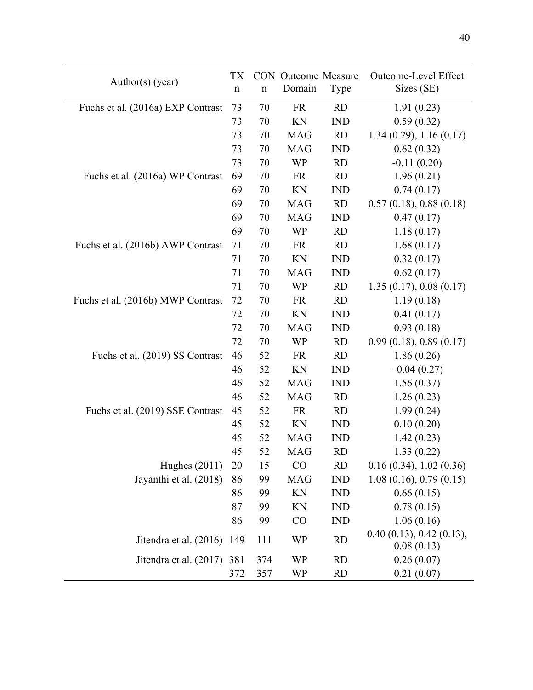| Domain<br>Sizes (SE)<br>Type<br>$\mathbf n$<br>$\mathbf n$<br>73<br>Fuchs et al. (2016a) EXP Contrast<br>70<br><b>FR</b><br><b>RD</b><br>1.91(0.23)<br>KN<br>0.59(0.32)<br>73<br>70<br><b>IND</b><br>1.34(0.29), 1.16(0.17)<br>73<br>70<br><b>MAG</b><br><b>RD</b><br>73<br>70<br><b>MAG</b><br><b>IND</b><br>0.62(0.32)<br>73<br><b>WP</b><br>$-0.11(0.20)$<br>70<br><b>RD</b><br>69<br>Fuchs et al. (2016a) WP Contrast<br>70<br><b>RD</b><br>1.96(0.21)<br><b>FR</b><br>69<br>KN<br>0.74(0.17)<br>70<br><b>IND</b><br>69<br>0.57(0.18), 0.88(0.18)<br>70<br><b>MAG</b><br><b>RD</b><br>69<br><b>IND</b><br>70<br><b>MAG</b><br>0.47(0.17)<br>69<br>70<br>WP<br><b>RD</b><br>1.18(0.17)<br>1.68(0.17)<br>Fuchs et al. (2016b) AWP Contrast<br>71<br>70<br><b>FR</b><br><b>RD</b><br>71<br>KN<br><b>IND</b><br>70<br>0.32(0.17)<br>71<br>70<br>0.62(0.17)<br><b>MAG</b><br><b>IND</b><br>1.35(0.17), 0.08(0.17)<br>71<br>70<br><b>WP</b><br><b>RD</b><br>72<br><b>FR</b><br>Fuchs et al. (2016b) MWP Contrast<br>70<br><b>RD</b><br>1.19(0.18)<br>0.41(0.17)<br>72<br>70<br>KN<br><b>IND</b><br>0.93(0.18)<br>72<br>70<br><b>MAG</b><br><b>IND</b><br>72<br>0.99(0.18), 0.89(0.17)<br>70<br><b>WP</b><br><b>RD</b><br>Fuchs et al. (2019) SS Contrast<br><b>RD</b><br>1.86(0.26)<br>46<br>52<br><b>FR</b><br>46<br>52<br>KN<br><b>IND</b><br>$-0.04(0.27)$<br>46<br>52<br><b>MAG</b><br><b>IND</b><br>1.56(0.37)<br>52<br><b>MAG</b><br>1.26(0.23)<br>46<br><b>RD</b><br>Fuchs et al. (2019) SSE Contrast<br>45<br>52<br><b>FR</b><br><b>RD</b><br>1.99(0.24)<br>45<br>KN<br>52<br><b>IND</b><br>0.10(0.20)<br>45<br>52<br><b>MAG</b><br><b>IND</b><br>1.42(0.23)<br>45<br>52<br><b>RD</b><br>1.33(0.22)<br><b>MAG</b><br>CO<br><b>RD</b><br>Hughes $(2011)$<br>0.16(0.34), 1.02(0.36)<br>20<br>15<br>Jayanthi et al. (2018)<br>99<br><b>MAG</b><br><b>IND</b><br>1.08(0.16), 0.79(0.15)<br>86<br>99<br>KN<br>0.66(0.15)<br>86<br><b>IND</b><br>0.78(0.15)<br>87<br>99<br>KN<br><b>IND</b><br>1.06(0.16)<br>86<br>99<br>CO<br><b>IND</b><br>0.40(0.13), 0.42(0.13),<br><b>WP</b><br><b>RD</b><br>Jitendra et al. (2016)<br>111<br>149<br>0.08(0.13)<br>0.26(0.07)<br>Jitendra et al. (2017)<br><b>WP</b><br><b>RD</b><br>381<br>374<br>0.21(0.07)<br>372<br>357<br><b>RD</b><br>WP | Author(s) (year) | <b>TX</b> | <b>CON</b> Outcome Measure | Outcome-Level Effect |
|-------------------------------------------------------------------------------------------------------------------------------------------------------------------------------------------------------------------------------------------------------------------------------------------------------------------------------------------------------------------------------------------------------------------------------------------------------------------------------------------------------------------------------------------------------------------------------------------------------------------------------------------------------------------------------------------------------------------------------------------------------------------------------------------------------------------------------------------------------------------------------------------------------------------------------------------------------------------------------------------------------------------------------------------------------------------------------------------------------------------------------------------------------------------------------------------------------------------------------------------------------------------------------------------------------------------------------------------------------------------------------------------------------------------------------------------------------------------------------------------------------------------------------------------------------------------------------------------------------------------------------------------------------------------------------------------------------------------------------------------------------------------------------------------------------------------------------------------------------------------------------------------------------------------------------------------------------------------------------------------------------------------------------------------------------------------------------------------------------------------------------------------------------------------------------------------------------------------------------------------------------------------------------------|------------------|-----------|----------------------------|----------------------|
|                                                                                                                                                                                                                                                                                                                                                                                                                                                                                                                                                                                                                                                                                                                                                                                                                                                                                                                                                                                                                                                                                                                                                                                                                                                                                                                                                                                                                                                                                                                                                                                                                                                                                                                                                                                                                                                                                                                                                                                                                                                                                                                                                                                                                                                                                     |                  |           |                            |                      |
|                                                                                                                                                                                                                                                                                                                                                                                                                                                                                                                                                                                                                                                                                                                                                                                                                                                                                                                                                                                                                                                                                                                                                                                                                                                                                                                                                                                                                                                                                                                                                                                                                                                                                                                                                                                                                                                                                                                                                                                                                                                                                                                                                                                                                                                                                     |                  |           |                            |                      |
|                                                                                                                                                                                                                                                                                                                                                                                                                                                                                                                                                                                                                                                                                                                                                                                                                                                                                                                                                                                                                                                                                                                                                                                                                                                                                                                                                                                                                                                                                                                                                                                                                                                                                                                                                                                                                                                                                                                                                                                                                                                                                                                                                                                                                                                                                     |                  |           |                            |                      |
|                                                                                                                                                                                                                                                                                                                                                                                                                                                                                                                                                                                                                                                                                                                                                                                                                                                                                                                                                                                                                                                                                                                                                                                                                                                                                                                                                                                                                                                                                                                                                                                                                                                                                                                                                                                                                                                                                                                                                                                                                                                                                                                                                                                                                                                                                     |                  |           |                            |                      |
|                                                                                                                                                                                                                                                                                                                                                                                                                                                                                                                                                                                                                                                                                                                                                                                                                                                                                                                                                                                                                                                                                                                                                                                                                                                                                                                                                                                                                                                                                                                                                                                                                                                                                                                                                                                                                                                                                                                                                                                                                                                                                                                                                                                                                                                                                     |                  |           |                            |                      |
|                                                                                                                                                                                                                                                                                                                                                                                                                                                                                                                                                                                                                                                                                                                                                                                                                                                                                                                                                                                                                                                                                                                                                                                                                                                                                                                                                                                                                                                                                                                                                                                                                                                                                                                                                                                                                                                                                                                                                                                                                                                                                                                                                                                                                                                                                     |                  |           |                            |                      |
|                                                                                                                                                                                                                                                                                                                                                                                                                                                                                                                                                                                                                                                                                                                                                                                                                                                                                                                                                                                                                                                                                                                                                                                                                                                                                                                                                                                                                                                                                                                                                                                                                                                                                                                                                                                                                                                                                                                                                                                                                                                                                                                                                                                                                                                                                     |                  |           |                            |                      |
|                                                                                                                                                                                                                                                                                                                                                                                                                                                                                                                                                                                                                                                                                                                                                                                                                                                                                                                                                                                                                                                                                                                                                                                                                                                                                                                                                                                                                                                                                                                                                                                                                                                                                                                                                                                                                                                                                                                                                                                                                                                                                                                                                                                                                                                                                     |                  |           |                            |                      |
|                                                                                                                                                                                                                                                                                                                                                                                                                                                                                                                                                                                                                                                                                                                                                                                                                                                                                                                                                                                                                                                                                                                                                                                                                                                                                                                                                                                                                                                                                                                                                                                                                                                                                                                                                                                                                                                                                                                                                                                                                                                                                                                                                                                                                                                                                     |                  |           |                            |                      |
|                                                                                                                                                                                                                                                                                                                                                                                                                                                                                                                                                                                                                                                                                                                                                                                                                                                                                                                                                                                                                                                                                                                                                                                                                                                                                                                                                                                                                                                                                                                                                                                                                                                                                                                                                                                                                                                                                                                                                                                                                                                                                                                                                                                                                                                                                     |                  |           |                            |                      |
|                                                                                                                                                                                                                                                                                                                                                                                                                                                                                                                                                                                                                                                                                                                                                                                                                                                                                                                                                                                                                                                                                                                                                                                                                                                                                                                                                                                                                                                                                                                                                                                                                                                                                                                                                                                                                                                                                                                                                                                                                                                                                                                                                                                                                                                                                     |                  |           |                            |                      |
|                                                                                                                                                                                                                                                                                                                                                                                                                                                                                                                                                                                                                                                                                                                                                                                                                                                                                                                                                                                                                                                                                                                                                                                                                                                                                                                                                                                                                                                                                                                                                                                                                                                                                                                                                                                                                                                                                                                                                                                                                                                                                                                                                                                                                                                                                     |                  |           |                            |                      |
|                                                                                                                                                                                                                                                                                                                                                                                                                                                                                                                                                                                                                                                                                                                                                                                                                                                                                                                                                                                                                                                                                                                                                                                                                                                                                                                                                                                                                                                                                                                                                                                                                                                                                                                                                                                                                                                                                                                                                                                                                                                                                                                                                                                                                                                                                     |                  |           |                            |                      |
|                                                                                                                                                                                                                                                                                                                                                                                                                                                                                                                                                                                                                                                                                                                                                                                                                                                                                                                                                                                                                                                                                                                                                                                                                                                                                                                                                                                                                                                                                                                                                                                                                                                                                                                                                                                                                                                                                                                                                                                                                                                                                                                                                                                                                                                                                     |                  |           |                            |                      |
|                                                                                                                                                                                                                                                                                                                                                                                                                                                                                                                                                                                                                                                                                                                                                                                                                                                                                                                                                                                                                                                                                                                                                                                                                                                                                                                                                                                                                                                                                                                                                                                                                                                                                                                                                                                                                                                                                                                                                                                                                                                                                                                                                                                                                                                                                     |                  |           |                            |                      |
|                                                                                                                                                                                                                                                                                                                                                                                                                                                                                                                                                                                                                                                                                                                                                                                                                                                                                                                                                                                                                                                                                                                                                                                                                                                                                                                                                                                                                                                                                                                                                                                                                                                                                                                                                                                                                                                                                                                                                                                                                                                                                                                                                                                                                                                                                     |                  |           |                            |                      |
|                                                                                                                                                                                                                                                                                                                                                                                                                                                                                                                                                                                                                                                                                                                                                                                                                                                                                                                                                                                                                                                                                                                                                                                                                                                                                                                                                                                                                                                                                                                                                                                                                                                                                                                                                                                                                                                                                                                                                                                                                                                                                                                                                                                                                                                                                     |                  |           |                            |                      |
|                                                                                                                                                                                                                                                                                                                                                                                                                                                                                                                                                                                                                                                                                                                                                                                                                                                                                                                                                                                                                                                                                                                                                                                                                                                                                                                                                                                                                                                                                                                                                                                                                                                                                                                                                                                                                                                                                                                                                                                                                                                                                                                                                                                                                                                                                     |                  |           |                            |                      |
|                                                                                                                                                                                                                                                                                                                                                                                                                                                                                                                                                                                                                                                                                                                                                                                                                                                                                                                                                                                                                                                                                                                                                                                                                                                                                                                                                                                                                                                                                                                                                                                                                                                                                                                                                                                                                                                                                                                                                                                                                                                                                                                                                                                                                                                                                     |                  |           |                            |                      |
|                                                                                                                                                                                                                                                                                                                                                                                                                                                                                                                                                                                                                                                                                                                                                                                                                                                                                                                                                                                                                                                                                                                                                                                                                                                                                                                                                                                                                                                                                                                                                                                                                                                                                                                                                                                                                                                                                                                                                                                                                                                                                                                                                                                                                                                                                     |                  |           |                            |                      |
|                                                                                                                                                                                                                                                                                                                                                                                                                                                                                                                                                                                                                                                                                                                                                                                                                                                                                                                                                                                                                                                                                                                                                                                                                                                                                                                                                                                                                                                                                                                                                                                                                                                                                                                                                                                                                                                                                                                                                                                                                                                                                                                                                                                                                                                                                     |                  |           |                            |                      |
|                                                                                                                                                                                                                                                                                                                                                                                                                                                                                                                                                                                                                                                                                                                                                                                                                                                                                                                                                                                                                                                                                                                                                                                                                                                                                                                                                                                                                                                                                                                                                                                                                                                                                                                                                                                                                                                                                                                                                                                                                                                                                                                                                                                                                                                                                     |                  |           |                            |                      |
|                                                                                                                                                                                                                                                                                                                                                                                                                                                                                                                                                                                                                                                                                                                                                                                                                                                                                                                                                                                                                                                                                                                                                                                                                                                                                                                                                                                                                                                                                                                                                                                                                                                                                                                                                                                                                                                                                                                                                                                                                                                                                                                                                                                                                                                                                     |                  |           |                            |                      |
|                                                                                                                                                                                                                                                                                                                                                                                                                                                                                                                                                                                                                                                                                                                                                                                                                                                                                                                                                                                                                                                                                                                                                                                                                                                                                                                                                                                                                                                                                                                                                                                                                                                                                                                                                                                                                                                                                                                                                                                                                                                                                                                                                                                                                                                                                     |                  |           |                            |                      |
|                                                                                                                                                                                                                                                                                                                                                                                                                                                                                                                                                                                                                                                                                                                                                                                                                                                                                                                                                                                                                                                                                                                                                                                                                                                                                                                                                                                                                                                                                                                                                                                                                                                                                                                                                                                                                                                                                                                                                                                                                                                                                                                                                                                                                                                                                     |                  |           |                            |                      |
|                                                                                                                                                                                                                                                                                                                                                                                                                                                                                                                                                                                                                                                                                                                                                                                                                                                                                                                                                                                                                                                                                                                                                                                                                                                                                                                                                                                                                                                                                                                                                                                                                                                                                                                                                                                                                                                                                                                                                                                                                                                                                                                                                                                                                                                                                     |                  |           |                            |                      |
|                                                                                                                                                                                                                                                                                                                                                                                                                                                                                                                                                                                                                                                                                                                                                                                                                                                                                                                                                                                                                                                                                                                                                                                                                                                                                                                                                                                                                                                                                                                                                                                                                                                                                                                                                                                                                                                                                                                                                                                                                                                                                                                                                                                                                                                                                     |                  |           |                            |                      |
|                                                                                                                                                                                                                                                                                                                                                                                                                                                                                                                                                                                                                                                                                                                                                                                                                                                                                                                                                                                                                                                                                                                                                                                                                                                                                                                                                                                                                                                                                                                                                                                                                                                                                                                                                                                                                                                                                                                                                                                                                                                                                                                                                                                                                                                                                     |                  |           |                            |                      |
|                                                                                                                                                                                                                                                                                                                                                                                                                                                                                                                                                                                                                                                                                                                                                                                                                                                                                                                                                                                                                                                                                                                                                                                                                                                                                                                                                                                                                                                                                                                                                                                                                                                                                                                                                                                                                                                                                                                                                                                                                                                                                                                                                                                                                                                                                     |                  |           |                            |                      |
|                                                                                                                                                                                                                                                                                                                                                                                                                                                                                                                                                                                                                                                                                                                                                                                                                                                                                                                                                                                                                                                                                                                                                                                                                                                                                                                                                                                                                                                                                                                                                                                                                                                                                                                                                                                                                                                                                                                                                                                                                                                                                                                                                                                                                                                                                     |                  |           |                            |                      |
|                                                                                                                                                                                                                                                                                                                                                                                                                                                                                                                                                                                                                                                                                                                                                                                                                                                                                                                                                                                                                                                                                                                                                                                                                                                                                                                                                                                                                                                                                                                                                                                                                                                                                                                                                                                                                                                                                                                                                                                                                                                                                                                                                                                                                                                                                     |                  |           |                            |                      |
|                                                                                                                                                                                                                                                                                                                                                                                                                                                                                                                                                                                                                                                                                                                                                                                                                                                                                                                                                                                                                                                                                                                                                                                                                                                                                                                                                                                                                                                                                                                                                                                                                                                                                                                                                                                                                                                                                                                                                                                                                                                                                                                                                                                                                                                                                     |                  |           |                            |                      |
|                                                                                                                                                                                                                                                                                                                                                                                                                                                                                                                                                                                                                                                                                                                                                                                                                                                                                                                                                                                                                                                                                                                                                                                                                                                                                                                                                                                                                                                                                                                                                                                                                                                                                                                                                                                                                                                                                                                                                                                                                                                                                                                                                                                                                                                                                     |                  |           |                            |                      |
|                                                                                                                                                                                                                                                                                                                                                                                                                                                                                                                                                                                                                                                                                                                                                                                                                                                                                                                                                                                                                                                                                                                                                                                                                                                                                                                                                                                                                                                                                                                                                                                                                                                                                                                                                                                                                                                                                                                                                                                                                                                                                                                                                                                                                                                                                     |                  |           |                            |                      |
|                                                                                                                                                                                                                                                                                                                                                                                                                                                                                                                                                                                                                                                                                                                                                                                                                                                                                                                                                                                                                                                                                                                                                                                                                                                                                                                                                                                                                                                                                                                                                                                                                                                                                                                                                                                                                                                                                                                                                                                                                                                                                                                                                                                                                                                                                     |                  |           |                            |                      |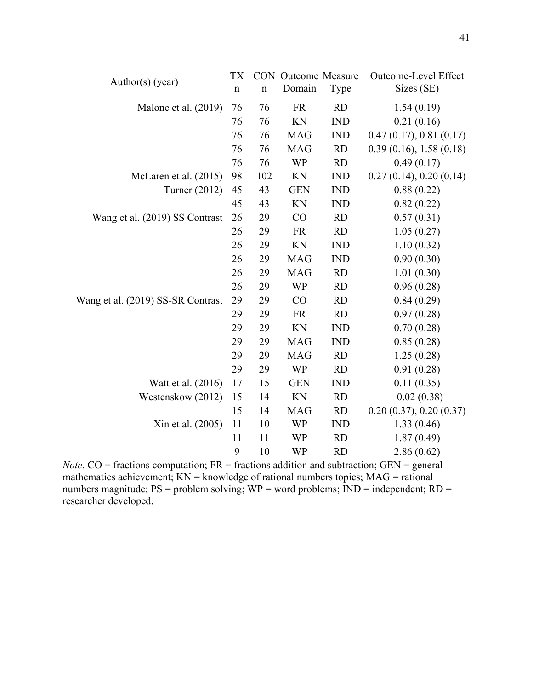| Author(s) (year)                  | <b>TX</b><br>$\mathbf n$ | $\mathbf n$ | <b>CON</b> Outcome Measure<br>Domain | Type       | Outcome-Level Effect<br>Sizes (SE) |
|-----------------------------------|--------------------------|-------------|--------------------------------------|------------|------------------------------------|
| Malone et al. (2019)              | 76                       | 76          | <b>FR</b>                            | <b>RD</b>  | 1.54(0.19)                         |
|                                   | 76                       | 76          | KN                                   | <b>IND</b> | 0.21(0.16)                         |
|                                   | 76                       | 76          | <b>MAG</b>                           | <b>IND</b> | 0.47(0.17), 0.81(0.17)             |
|                                   | 76                       | 76          | <b>MAG</b>                           | <b>RD</b>  | 0.39(0.16), 1.58(0.18)             |
|                                   | 76                       | 76          | <b>WP</b>                            | <b>RD</b>  | 0.49(0.17)                         |
| McLaren et al. (2015)             | 98                       | 102         | KN                                   | <b>IND</b> | 0.27(0.14), 0.20(0.14)             |
| Turner (2012)                     | 45                       | 43          | <b>GEN</b>                           | <b>IND</b> | 0.88(0.22)                         |
|                                   | 45                       | 43          | KN                                   | <b>IND</b> | 0.82(0.22)                         |
| Wang et al. (2019) SS Contrast    | 26                       | 29          | CO                                   | <b>RD</b>  | 0.57(0.31)                         |
|                                   | 26                       | 29          | <b>FR</b>                            | <b>RD</b>  | 1.05(0.27)                         |
|                                   | 26                       | 29          | KN                                   | <b>IND</b> | 1.10(0.32)                         |
|                                   | 26                       | 29          | <b>MAG</b>                           | <b>IND</b> | 0.90(0.30)                         |
|                                   | 26                       | 29          | <b>MAG</b>                           | <b>RD</b>  | 1.01(0.30)                         |
|                                   | 26                       | 29          | <b>WP</b>                            | <b>RD</b>  | 0.96(0.28)                         |
| Wang et al. (2019) SS-SR Contrast | 29                       | 29          | CO                                   | <b>RD</b>  | 0.84(0.29)                         |
|                                   | 29                       | 29          | <b>FR</b>                            | <b>RD</b>  | 0.97(0.28)                         |
|                                   | 29                       | 29          | KN                                   | <b>IND</b> | 0.70(0.28)                         |
|                                   | 29                       | 29          | <b>MAG</b>                           | <b>IND</b> | 0.85(0.28)                         |
|                                   | 29                       | 29          | <b>MAG</b>                           | <b>RD</b>  | 1.25(0.28)                         |
|                                   | 29                       | 29          | <b>WP</b>                            | <b>RD</b>  | 0.91(0.28)                         |
| Watt et al. (2016)                | 17                       | 15          | <b>GEN</b>                           | <b>IND</b> | 0.11(0.35)                         |
| Westenskow (2012)                 | 15                       | 14          | KN                                   | <b>RD</b>  | $-0.02(0.38)$                      |
|                                   | 15                       | 14          | <b>MAG</b>                           | <b>RD</b>  | 0.20(0.37), 0.20(0.37)             |
| Xin et al. (2005)                 | 11                       | 10          | <b>WP</b>                            | <b>IND</b> | 1.33(0.46)                         |
|                                   | 11                       | 11          | <b>WP</b>                            | <b>RD</b>  | 1.87(0.49)                         |
|                                   | 9                        | 10          | <b>WP</b>                            | <b>RD</b>  | 2.86(0.62)                         |

*Note.*  $CO$  = fractions computation;  $FR$  = fractions addition and subtraction;  $GEN$  = general mathematics achievement;  $KN =$  knowledge of rational numbers topics;  $MAG =$  rational numbers magnitude;  $PS =$  problem solving;  $WP =$  word problems;  $IND =$  independent;  $RD =$ researcher developed.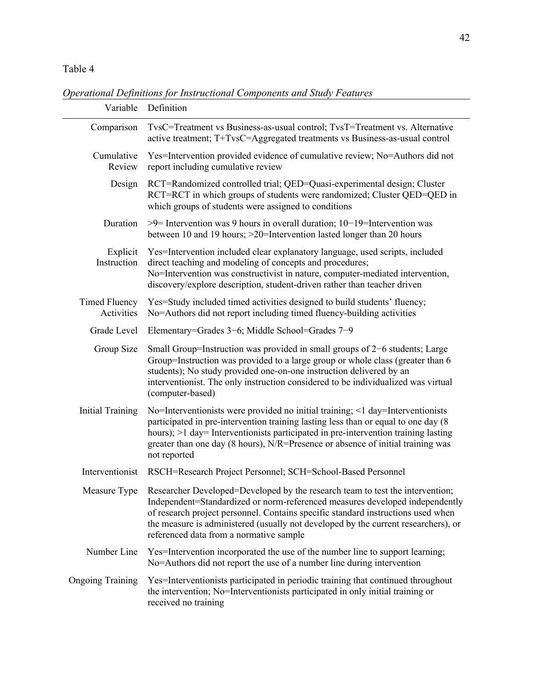Table 4

*Operational Definitions for Instructional Components and Study Features*

| Variable                           | Definition                                                                                                                                                                                                                                                                                                                                                                                      |
|------------------------------------|-------------------------------------------------------------------------------------------------------------------------------------------------------------------------------------------------------------------------------------------------------------------------------------------------------------------------------------------------------------------------------------------------|
| Comparison                         | TvsC=Treatment vs Business-as-usual control; TvsT=Treatment vs. Alternative<br>active treatment; T+TvsC=Aggregated treatments vs Business-as-usual control                                                                                                                                                                                                                                      |
| Cumulative<br>Review               | Yes=Intervention provided evidence of cumulative review; No=Authors did not<br>report including cumulative review                                                                                                                                                                                                                                                                               |
| Design                             | RCT=Randomized controlled trial; QED=Quasi-experimental design; Cluster<br>RCT=RCT in which groups of students were randomized; Cluster QED=QED in<br>which groups of students were assigned to conditions                                                                                                                                                                                      |
| Duration                           | $>9$ = Intervention was 9 hours in overall duration; 10–19 = Intervention was<br>between 10 and 19 hours; >20=Intervention lasted longer than 20 hours                                                                                                                                                                                                                                          |
| Explicit<br>Instruction            | Yes=Intervention included clear explanatory language, used scripts, included<br>direct teaching and modeling of concepts and procedures;<br>No=Intervention was constructivist in nature, computer-mediated intervention,<br>discovery/explore description, student-driven rather than teacher driven                                                                                           |
| <b>Timed Fluency</b><br>Activities | Yes=Study included timed activities designed to build students' fluency;<br>No=Authors did not report including timed fluency-building activities                                                                                                                                                                                                                                               |
| Grade Level                        | Elementary=Grades $3-6$ ; Middle School=Grades $7-9$                                                                                                                                                                                                                                                                                                                                            |
| Group Size                         | Small Group=Instruction was provided in small groups of 2–6 students; Large<br>Group=Instruction was provided to a large group or whole class (greater than 6<br>students); No study provided one-on-one instruction delivered by an<br>interventionist. The only instruction considered to be individualized was virtual<br>(computer-based)                                                   |
| <b>Initial Training</b>            | No=Interventionists were provided no initial training; <1 day=Interventionists<br>participated in pre-intervention training lasting less than or equal to one day (8)<br>hours); >1 day= Interventionists participated in pre-intervention training lasting<br>greater than one day (8 hours), N/R=Presence or absence of initial training was<br>not reported                                  |
| Interventionist                    | RSCH=Research Project Personnel; SCH=School-Based Personnel                                                                                                                                                                                                                                                                                                                                     |
|                                    | Measure Type Researcher Developed=Developed by the research team to test the intervention;<br>Independent=Standardized or norm-referenced measures developed independently<br>of research project personnel. Contains specific standard instructions used when<br>the measure is administered (usually not developed by the current researchers), or<br>referenced data from a normative sample |
| Number Line                        | Yes=Intervention incorporated the use of the number line to support learning;<br>No=Authors did not report the use of a number line during intervention                                                                                                                                                                                                                                         |
| <b>Ongoing Training</b>            | Yes=Interventionists participated in periodic training that continued throughout<br>the intervention; No=Interventionists participated in only initial training or<br>received no training                                                                                                                                                                                                      |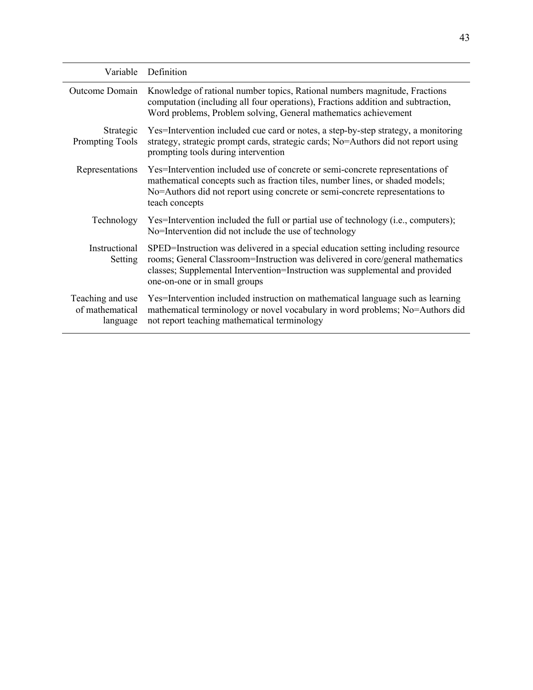| Variable                                        | Definition                                                                                                                                                                                                                                                                          |
|-------------------------------------------------|-------------------------------------------------------------------------------------------------------------------------------------------------------------------------------------------------------------------------------------------------------------------------------------|
| Outcome Domain                                  | Knowledge of rational number topics, Rational numbers magnitude, Fractions<br>computation (including all four operations), Fractions addition and subtraction,<br>Word problems, Problem solving, General mathematics achievement                                                   |
| Strategic<br><b>Prompting Tools</b>             | Yes=Intervention included cue card or notes, a step-by-step strategy, a monitoring<br>strategy, strategic prompt cards, strategic cards; No=Authors did not report using<br>prompting tools during intervention                                                                     |
| Representations                                 | Yes=Intervention included use of concrete or semi-concrete representations of<br>mathematical concepts such as fraction tiles, number lines, or shaded models;<br>No=Authors did not report using concrete or semi-concrete representations to<br>teach concepts                    |
| Technology                                      | Yes=Intervention included the full or partial use of technology (i.e., computers);<br>No=Intervention did not include the use of technology                                                                                                                                         |
| Instructional<br>Setting                        | SPED=Instruction was delivered in a special education setting including resource<br>rooms; General Classroom=Instruction was delivered in core/general mathematics<br>classes; Supplemental Intervention=Instruction was supplemental and provided<br>one-on-one or in small groups |
| Teaching and use<br>of mathematical<br>language | Yes=Intervention included instruction on mathematical language such as learning<br>mathematical terminology or novel vocabulary in word problems; No=Authors did<br>not report teaching mathematical terminology                                                                    |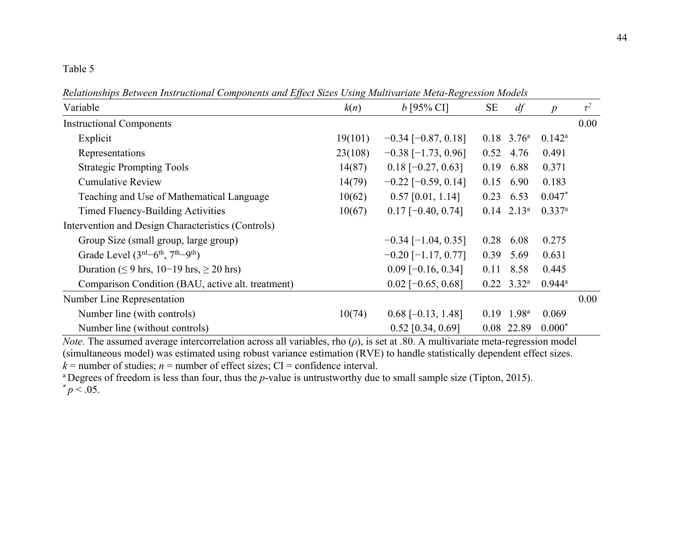#### Table 5

*Relationships Between Instructional Components and Effect Sizes Using Multivariate Meta-Regression Models*

|                                                    |         | $\cdots$                  |      |                          |                      |          |
|----------------------------------------------------|---------|---------------------------|------|--------------------------|----------------------|----------|
| Variable                                           | k(n)    | $b$ [95% CI]              | SE   | df                       | $\boldsymbol{p}$     | $\tau^2$ |
| <b>Instructional Components</b>                    |         |                           |      |                          |                      | 0.00     |
| Explicit                                           | 19(101) | $-0.34$ [ $-0.87, 0.18$ ] |      | $0.18$ 3.76 <sup>a</sup> | $0.142^a$            |          |
| Representations                                    | 23(108) | $-0.38$ [-1.73, 0.96]     | 0.52 | 4.76                     | 0.491                |          |
| <b>Strategic Prompting Tools</b>                   | 14(87)  | $0.18$ [-0.27, 0.63]      | 0.19 | 6.88                     | 0.371                |          |
| <b>Cumulative Review</b>                           | 14(79)  | $-0.22$ [ $-0.59$ , 0.14] | 0.15 | 6.90                     | 0.183                |          |
| Teaching and Use of Mathematical Language          | 10(62)  | $0.57$ [0.01, 1.14]       | 0.23 | 6.53                     | $0.047*$             |          |
| Timed Fluency-Building Activities                  | 10(67)  | $0.17$ [-0.40, 0.74]      |      | $0.14$ $2.13^a$          | 0.337a               |          |
| Intervention and Design Characteristics (Controls) |         |                           |      |                          |                      |          |
| Group Size (small group, large group)              |         | $-0.34$ [ $-1.04$ , 0.35] | 0.28 | 6.08                     | 0.275                |          |
| Grade Level $(3rd-6th, 7th-9th)$                   |         | $-0.20$ [ $-1.17, 0.77$ ] | 0.39 | 5.69                     | 0.631                |          |
| Duration ( $\leq$ 9 hrs, 10–19 hrs, $\geq$ 20 hrs) |         | $0.09$ [-0.16, 0.34]      | 0.11 | 8.58                     | 0.445                |          |
| Comparison Condition (BAU, active alt. treatment)  |         | $0.02$ [-0.65, 0.68]      |      | $0.22$ 3.32 <sup>a</sup> | $0.944$ <sup>a</sup> |          |
| Number Line Representation                         |         |                           |      |                          |                      | 0.00     |
| Number line (with controls)                        | 10(74)  | $0.68$ [-0.13, 1.48]      | 0.19 | 1.98 <sup>a</sup>        | 0.069                |          |
| Number line (without controls)                     |         | $0.52$ [0.34, 0.69]       |      | 0.08 22.89               | $0.000*$             |          |

*Note.* The assumed average intercorrelation across all variables, rho  $(\rho)$ , is set at .80. A multivariate meta-regression model (simultaneous model) was estimated using robust variance estimation (RVE) to handle statistically dependent effect sizes.  $k =$  number of studies;  $n =$  number of effect sizes; CI = confidence interval.

<sup>a</sup> Degrees of freedom is less than four, thus the *p*-value is untrustworthy due to small sample size (Tipton, 2015).  ${}^{*}p < .05$ .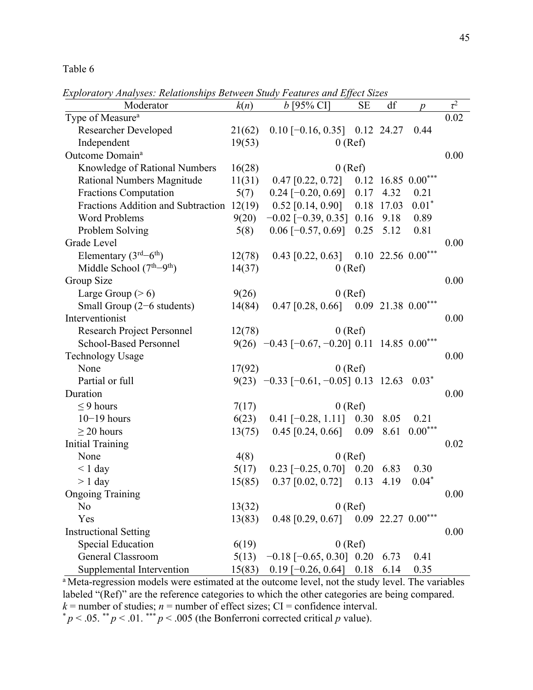Table 6

*Exploratory Analyses: Relationships Between Study Features and Effect Sizes*

| Moderator                                 | k(n)   | 2xpioratory 21nutyses. Itelationships Detween Staap 1 catalos and 1990et St2cs<br>$b$ [95% CI] | <b>SE</b> | df    |                        | $\overline{\tau^2}$ |
|-------------------------------------------|--------|------------------------------------------------------------------------------------------------|-----------|-------|------------------------|---------------------|
| Type of Measure <sup>a</sup>              |        |                                                                                                |           |       | $\boldsymbol{p}$       | 0.02                |
| <b>Researcher Developed</b>               | 21(62) | $0.10$ [-0.16, 0.35] 0.12 24.27                                                                |           |       | 0.44                   |                     |
| Independent                               | 19(53) |                                                                                                | $0$ (Ref) |       |                        |                     |
| Outcome Domain <sup>a</sup>               |        |                                                                                                |           |       |                        | 0.00                |
| Knowledge of Rational Numbers             | 16(28) |                                                                                                | $0$ (Ref) |       |                        |                     |
| Rational Numbers Magnitude                | 11(31) | $0.47$ [0.22, 0.72]                                                                            |           |       | $0.12$ 16.85 $0.00***$ |                     |
| <b>Fractions Computation</b>              | 5(7)   | $0.24$ [-0.20, 0.69]                                                                           | 0.17      | 4.32  | 0.21                   |                     |
| Fractions Addition and Subtraction 12(19) |        | $0.52$ [0.14, 0.90]                                                                            | 0.18      | 17.03 | $0.01*$                |                     |
| <b>Word Problems</b>                      | 9(20)  | $-0.02$ [ $-0.39, 0.35$ ]                                                                      | 0.16      | 9.18  | 0.89                   |                     |
|                                           |        | $0.06$ [ $-0.57, 0.69$ ]                                                                       | 0.25      | 5.12  | 0.81                   |                     |
| Problem Solving<br>Grade Level            | 5(8)   |                                                                                                |           |       |                        | 0.00                |
| Elementary $(3rd-6th)$                    |        | 0.43 [0.22, 0.63] 0.10 22.56 $0.00***$                                                         |           |       |                        |                     |
|                                           | 12(78) |                                                                                                |           |       |                        |                     |
| Middle School $(7th-9th)$                 | 14(37) |                                                                                                | $0$ (Ref) |       |                        |                     |
| Group Size                                |        |                                                                                                |           |       |                        | 0.00                |
| Large Group $(>6)$                        | 9(26)  |                                                                                                | $0$ (Ref) |       |                        |                     |
| Small Group (2-6 students)                | 14(84) | $0.47$ [0.28, 0.66] 0.09 21.38 0.00***                                                         |           |       |                        |                     |
| Interventionist                           |        |                                                                                                |           |       |                        | 0.00                |
| Research Project Personnel                | 12(78) |                                                                                                | $0$ (Ref) |       |                        |                     |
| <b>School-Based Personnel</b>             |        | 9(26) $-0.43$ [ $-0.67$ , $-0.20$ ] 0.11 14.85 0.00 <sup>***</sup>                             |           |       |                        |                     |
| <b>Technology Usage</b>                   |        |                                                                                                |           |       |                        | 0.00                |
| None                                      | 17(92) |                                                                                                | $0$ (Ref) |       |                        |                     |
| Partial or full                           |        | $9(23)$ -0.33 [-0.61, -0.05] 0.13 12.63 0.03 <sup>*</sup>                                      |           |       |                        |                     |
| Duration                                  |        |                                                                                                |           |       |                        | 0.00                |
| $\leq$ 9 hours                            | 7(17)  |                                                                                                | $0$ (Ref) |       |                        |                     |
| $10-19$ hours                             | 6(23)  | $0.41$ [-0.28, 1.11] 0.30                                                                      |           | 8.05  | 0.21                   |                     |
| $\geq$ 20 hours                           | 13(75) | $0.45$ [0.24, 0.66]                                                                            | 0.09      | 8.61  | $0.00***$              |                     |
| <b>Initial Training</b>                   |        |                                                                                                |           |       |                        | 0.02                |
| None                                      | 4(8)   |                                                                                                | $0$ (Ref) |       |                        |                     |
| $< 1$ day                                 | 5(17)  | $0.23$ [-0.25, 0.70]                                                                           | 0.20      | 6.83  | 0.30                   |                     |
| $> 1$ day                                 | 15(85) | $0.37$ [0.02, 0.72]                                                                            | 0.13      | 4.19  | $0.04*$                |                     |
| <b>Ongoing Training</b>                   |        |                                                                                                |           |       |                        | 0.00                |
| N <sub>o</sub>                            | 13(32) |                                                                                                | $0$ (Ref) |       |                        |                     |
| Yes                                       | 13(83) | $0.48$ [0.29, 0.67]                                                                            |           |       | $0.09$ 22.27 $0.00***$ |                     |
| <b>Instructional Setting</b>              |        |                                                                                                |           |       |                        | 0.00                |
| <b>Special Education</b>                  | 6(19)  |                                                                                                | $0$ (Ref) |       |                        |                     |
| General Classroom                         | 5(13)  | $-0.18$ [ $-0.65$ , 0.30] 0.20                                                                 |           | 6.73  | 0.41                   |                     |
| Supplemental Intervention                 | 15(83) | $0.19$ [-0.26, 0.64]                                                                           | 0.18      | 6.14  | 0.35                   |                     |

<sup>a</sup> Meta-regression models were estimated at the outcome level, not the study level. The variables labeled "(Ref)" are the reference categories to which the other categories are being compared.  $k =$  number of studies; *n* = number of effect sizes; CI = confidence interval.<br>\*  $p < .05$ . \*\*  $p < .01$ . \*\*\*  $p < .005$  (the Bonferroni corrected critical *p* value).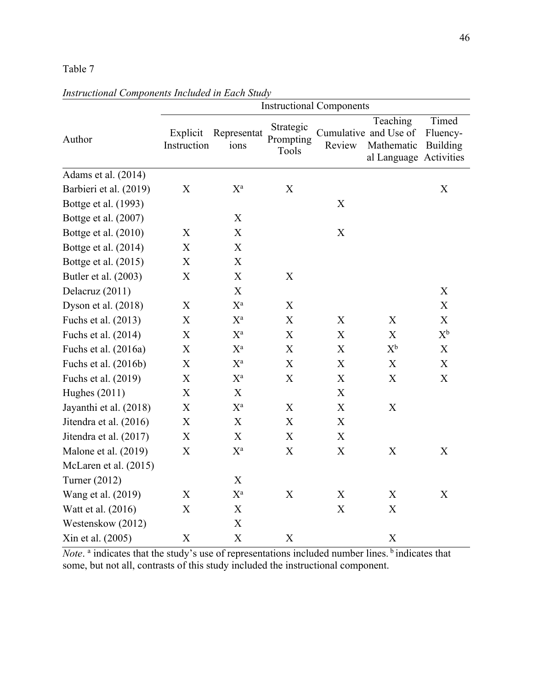### Table 7

|                        | <b>Instructional Components</b> |                           |                                 |                           |                                                                           |                               |  |  |
|------------------------|---------------------------------|---------------------------|---------------------------------|---------------------------|---------------------------------------------------------------------------|-------------------------------|--|--|
| Author                 | Explicit<br>Instruction         | Representat<br>ions       | Strategic<br>Prompting<br>Tools | Review                    | Teaching<br>Cumulative and Use of<br>Mathematic<br>al Language Activities | Timed<br>Fluency-<br>Building |  |  |
| Adams et al. (2014)    |                                 |                           |                                 |                           |                                                                           |                               |  |  |
| Barbieri et al. (2019) | X                               | $X^a$                     | $\mathbf X$                     |                           |                                                                           | $\boldsymbol{\mathrm{X}}$     |  |  |
| Bottge et al. (1993)   |                                 |                           |                                 | X                         |                                                                           |                               |  |  |
| Bottge et al. (2007)   |                                 | X                         |                                 |                           |                                                                           |                               |  |  |
| Bottge et al. (2010)   | X                               | X                         |                                 | $\mathbf X$               |                                                                           |                               |  |  |
| Bottge et al. (2014)   | X                               | X                         |                                 |                           |                                                                           |                               |  |  |
| Bottge et al. (2015)   | X                               | X                         |                                 |                           |                                                                           |                               |  |  |
| Butler et al. (2003)   | X                               | $\mathbf X$               | X                               |                           |                                                                           |                               |  |  |
| Delacruz (2011)        |                                 | $\mathbf X$               |                                 |                           |                                                                           | $\mathbf X$                   |  |  |
| Dyson et al. (2018)    | X                               | $X^a$                     | X                               |                           |                                                                           | $\boldsymbol{\mathrm{X}}$     |  |  |
| Fuchs et al. (2013)    | $\boldsymbol{\mathrm{X}}$       | $X^{\mathrm{a}}$          | $\boldsymbol{\mathrm{X}}$       | X                         | X                                                                         | $\boldsymbol{\mathrm{X}}$     |  |  |
| Fuchs et al. (2014)    | X                               | $X^a$                     | X                               | X                         | X                                                                         | $X^b$                         |  |  |
| Fuchs et al. (2016a)   | X                               | $\mathbf{X}^{\text{a}}$   | $\mathbf X$                     | X                         | $X^b$                                                                     | $\mathbf X$                   |  |  |
| Fuchs et al. (2016b)   | X                               | $X^a$                     | $\mathbf X$                     | X                         | X                                                                         | $\mathbf X$                   |  |  |
| Fuchs et al. (2019)    | $\boldsymbol{\mathrm{X}}$       | $\mathbf{X}^{\text{a}}$   | X                               | X                         | $\boldsymbol{\mathrm{X}}$                                                 | $\mathbf X$                   |  |  |
| Hughes (2011)          | X                               | $\mathbf X$               |                                 | X                         |                                                                           |                               |  |  |
| Jayanthi et al. (2018) | X                               | $X^a$                     | X                               | $\boldsymbol{\mathrm{X}}$ | $\mathbf X$                                                               |                               |  |  |
| Jitendra et al. (2016) | X                               | $\boldsymbol{\mathrm{X}}$ | X                               | X                         |                                                                           |                               |  |  |
| Jitendra et al. (2017) | X                               | $\mathbf X$               | $\mathbf X$                     | X                         |                                                                           |                               |  |  |
| Malone et al. (2019)   | X                               | $X^a$                     | X                               | X                         | $\boldsymbol{X}$                                                          | X                             |  |  |
| McLaren et al. (2015)  |                                 |                           |                                 |                           |                                                                           |                               |  |  |
| Turner (2012)          |                                 | $\mathbf X$               |                                 |                           |                                                                           |                               |  |  |
| Wang et al. (2019)     | X                               | $X^a$                     | $\mathbf X$                     | X                         | $\boldsymbol{\mathrm{X}}$                                                 | X                             |  |  |
| Watt et al. (2016)     | $\boldsymbol{\mathrm{X}}$       | $\mathbf X$               |                                 | $\boldsymbol{\mathrm{X}}$ | $\boldsymbol{\mathrm{X}}$                                                 |                               |  |  |
| Westenskow (2012)      |                                 | $\boldsymbol{\mathrm{X}}$ |                                 |                           |                                                                           |                               |  |  |
| Xin et al. (2005)      | X                               | $\boldsymbol{\mathrm{X}}$ | $\mathbf X$                     |                           | $\mathbf X$                                                               |                               |  |  |

*Instructional Components Included in Each Study*

*Note*.<sup>a</sup> indicates that the study's use of representations included number lines.<sup>b</sup> indicates that some, but not all, contrasts of this study included the instructional component.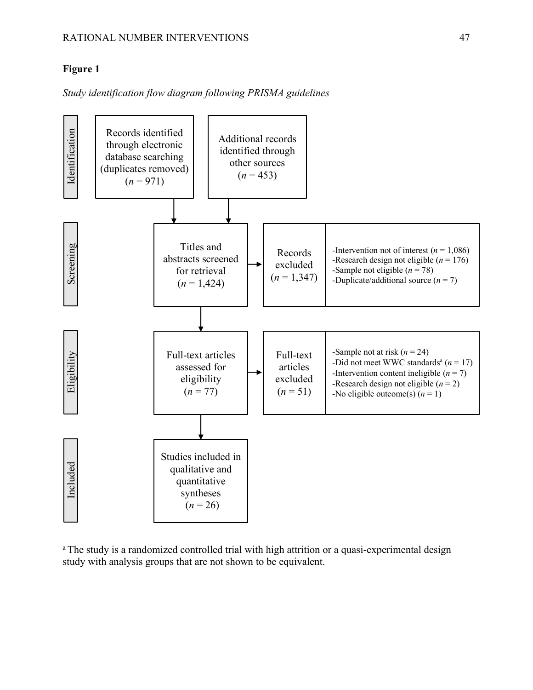#### **Figure 1**

*Study identification flow diagram following PRISMA guidelines*



<sup>a</sup> The study is a randomized controlled trial with high attrition or a quasi-experimental design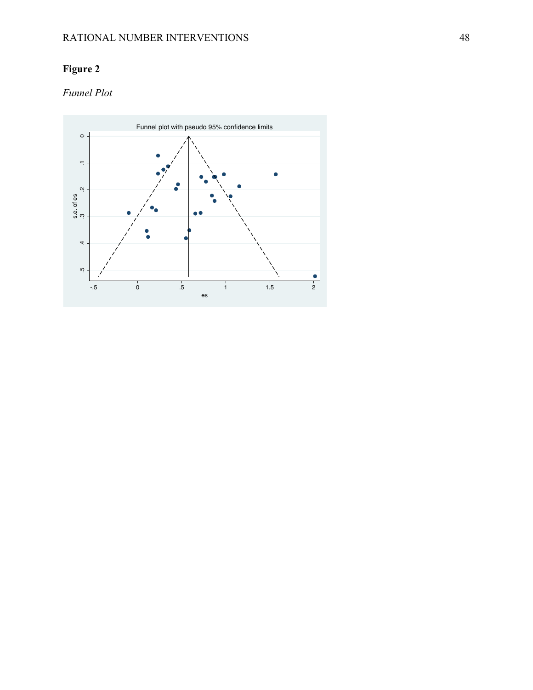## **Figure 2**

### *Funnel Plot*